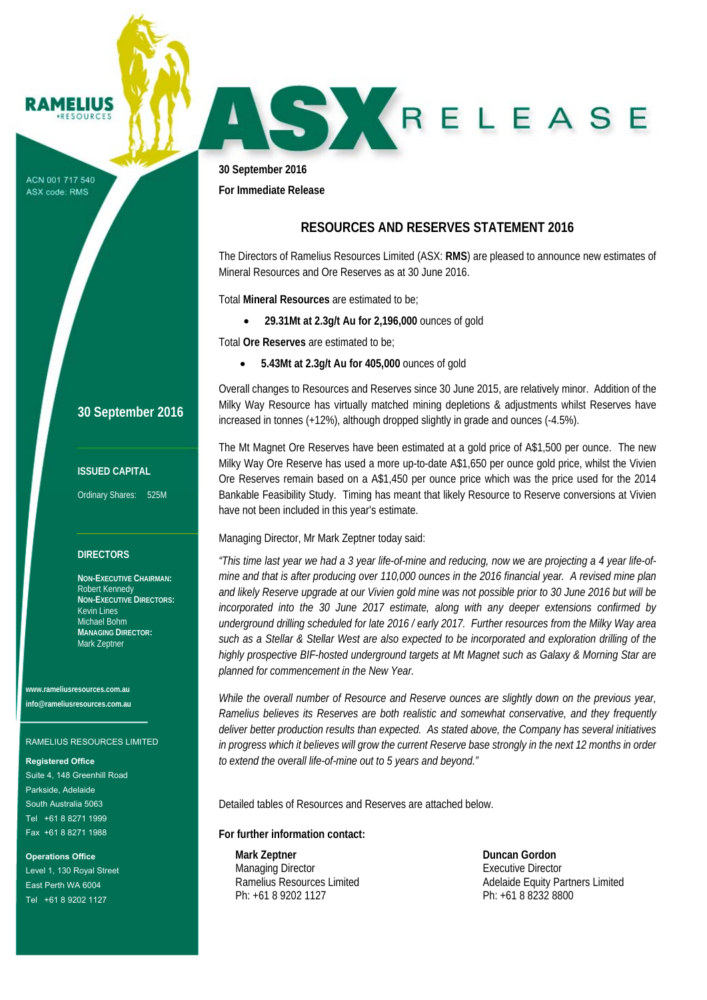#### RAMELIUS **PESOUPCES**

ACN 001 717 540 ASX code: RMS

## **30 September 2016**

### **ISSUED CAPITAL**

Ordinary Shares: 525M

### **DIRECTORS**

**NON-EXECUTIVE CHAIRMAN:**  Robert Kennedy **NON-EXECUTIVE DIRECTORS:**  Kevin Lines Michael Bohm **MANAGING DIRECTOR:**  Mark Zeptner

**www.rameliusresources.com.au info@rameliusresources.com.au** 

#### RAMELIUS RESOURCES LIMITED

#### **Registered Office**

Suite 4, 148 Greenhill Road Parkside, Adelaide South Australia 5063 Tel +61 8 8271 1999 Fax +61 8 8271 1988

**Operations Office**  Level 1, 130 Royal Street East Perth WA 6004 Tel +61 8 9202 1127

**30 September 2016** 

**For Immediate Release** 

## **RESOURCES AND RESERVES STATEMENT 2016**

SKRELEASE

The Directors of Ramelius Resources Limited (ASX: **RMS**) are pleased to announce new estimates of Mineral Resources and Ore Reserves as at 30 June 2016.

Total **Mineral Resources** are estimated to be;

**29.31Mt at 2.3g/t Au for 2,196,000** ounces of gold

Total **Ore Reserves** are estimated to be;

**5.43Mt at 2.3g/t Au for 405,000** ounces of gold

Overall changes to Resources and Reserves since 30 June 2015, are relatively minor. Addition of the Milky Way Resource has virtually matched mining depletions & adjustments whilst Reserves have increased in tonnes (+12%), although dropped slightly in grade and ounces (-4.5%).

The Mt Magnet Ore Reserves have been estimated at a gold price of A\$1,500 per ounce. The new Milky Way Ore Reserve has used a more up-to-date A\$1,650 per ounce gold price, whilst the Vivien Ore Reserves remain based on a A\$1,450 per ounce price which was the price used for the 2014 Bankable Feasibility Study. Timing has meant that likely Resource to Reserve conversions at Vivien have not been included in this year's estimate.

Managing Director, Mr Mark Zeptner today said:

*"This time last year we had a 3 year life-of-mine and reducing, now we are projecting a 4 year life-ofmine and that is after producing over 110,000 ounces in the 2016 financial year. A revised mine plan and likely Reserve upgrade at our Vivien gold mine was not possible prior to 30 June 2016 but will be incorporated into the 30 June 2017 estimate, along with any deeper extensions confirmed by underground drilling scheduled for late 2016 / early 2017. Further resources from the Milky Way area such as a Stellar & Stellar West are also expected to be incorporated and exploration drilling of the highly prospective BIF-hosted underground targets at Mt Magnet such as Galaxy & Morning Star are planned for commencement in the New Year.* 

*While the overall number of Resource and Reserve ounces are slightly down on the previous year, Ramelius believes its Reserves are both realistic and somewhat conservative, and they frequently deliver better production results than expected. As stated above, the Company has several initiatives in progress which it believes will grow the current Reserve base strongly in the next 12 months in order to extend the overall life-of-mine out to 5 years and beyond."* 

Detailed tables of Resources and Reserves are attached below.

**For further information contact:** 

**Mark Zeptner** Duncan Gordon **Duncan Gordon** Managing Director **Executive Director** Executive Director Ph: +61 8 9202 1127 Ph: +61 8 8232 8800

Ramelius Resources Limited **Adelaide Equity Partners Limited** Adelaide Equity Partners Limited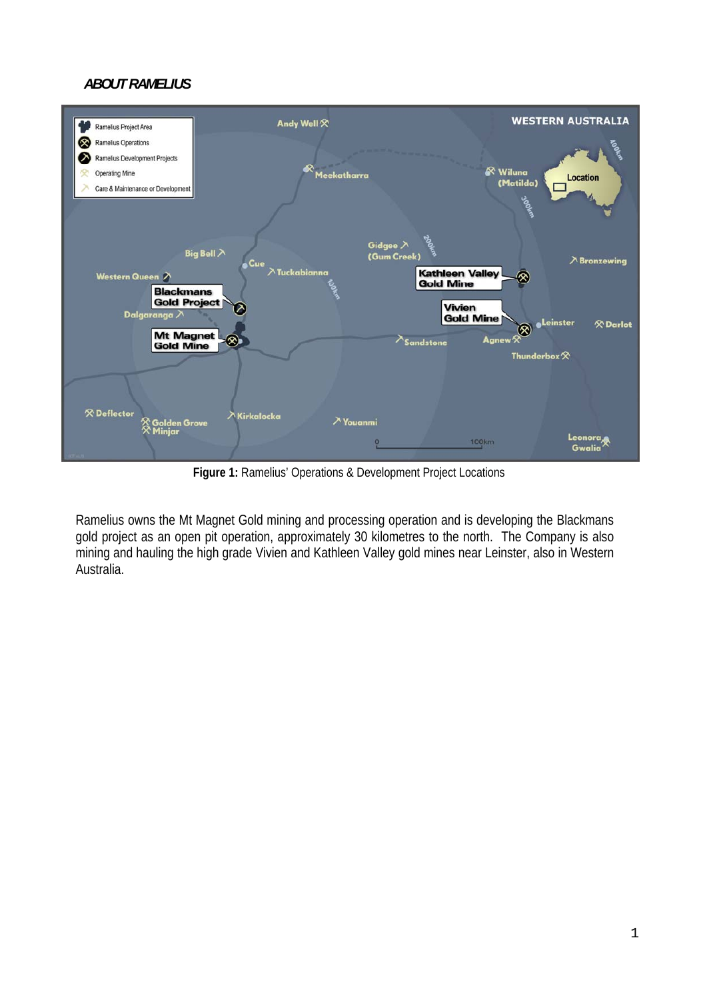# *ABOUT RAMELIUS*



**Figure 1:** Ramelius' Operations & Development Project Locations

Ramelius owns the Mt Magnet Gold mining and processing operation and is developing the Blackmans gold project as an open pit operation, approximately 30 kilometres to the north. The Company is also mining and hauling the high grade Vivien and Kathleen Valley gold mines near Leinster, also in Western Australia.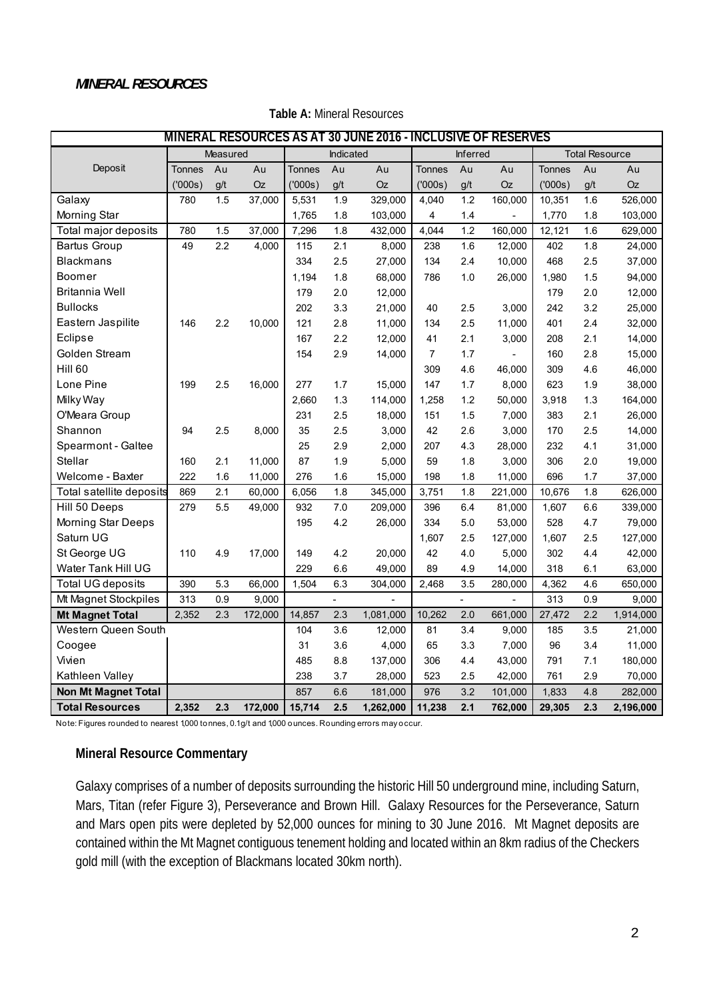## *MINERAL RESOURCES*

| MINERAL RESOURCES AS AT 30 JUNE 2016 - INCLUSIVE OF RESERVES |               |          |           |               |           |           |                 |     |                |                       |     |           |
|--------------------------------------------------------------|---------------|----------|-----------|---------------|-----------|-----------|-----------------|-----|----------------|-----------------------|-----|-----------|
|                                                              |               | Measured |           |               | Indicated |           | <b>Inferred</b> |     |                | <b>Total Resource</b> |     |           |
| Deposit                                                      | <b>Tonnes</b> | Au       | Au        | <b>Tonnes</b> | Au        | Au        | <b>Tonnes</b>   | Au  | Au             | <b>Tonnes</b>         | Au  | Au        |
|                                                              | (′000s)       | g/t      | <b>Oz</b> | (′000s)       | g/t       | <b>Oz</b> | (′000s)         | g/t | Oz             | (000s)                | g/t | Oz        |
| Galaxy                                                       | 780           | 1.5      | 37,000    | 5,531         | 1.9       | 329,000   | 4,040           | 1.2 | 160,000        | 10,351                | 1.6 | 526,000   |
| Morning Star                                                 |               |          |           | 1,765         | 1.8       | 103,000   | 4               | 1.4 |                | 1,770                 | 1.8 | 103,000   |
| Total major deposits                                         | 780           | 1.5      | 37,000    | 7,296         | 1.8       | 432,000   | 4,044           | 1.2 | 160,000        | 12,121                | 1.6 | 629,000   |
| <b>Bartus Group</b>                                          | 49            | 2.2      | 4,000     | 115           | 2.1       | 8,000     | 238             | 1.6 | 12,000         | 402                   | 1.8 | 24,000    |
| <b>Blackmans</b>                                             |               |          |           | 334           | 2.5       | 27,000    | 134             | 2.4 | 10,000         | 468                   | 2.5 | 37,000    |
| Boomer                                                       |               |          |           | 1,194         | 1.8       | 68,000    | 786             | 1.0 | 26,000         | 1,980                 | 1.5 | 94,000    |
| <b>Britannia Well</b>                                        |               |          |           | 179           | 2.0       | 12,000    |                 |     |                | 179                   | 2.0 | 12,000    |
| <b>Bullocks</b>                                              |               |          |           | 202           | 3.3       | 21,000    | 40              | 2.5 | 3,000          | 242                   | 3.2 | 25,000    |
| Eastern Jaspilite                                            | 146           | 2.2      | 10,000    | 121           | 2.8       | 11,000    | 134             | 2.5 | 11,000         | 401                   | 2.4 | 32,000    |
| Eclipse                                                      |               |          |           | 167           | 2.2       | 12,000    | 41              | 2.1 | 3,000          | 208                   | 2.1 | 14,000    |
| Golden Stream                                                |               |          |           | 154           | 2.9       | 14,000    | $\overline{7}$  | 1.7 |                | 160                   | 2.8 | 15,000    |
| Hill <sub>60</sub>                                           |               |          |           |               |           |           | 309             | 4.6 | 46,000         | 309                   | 4.6 | 46,000    |
| Lone Pine                                                    | 199           | 2.5      | 16,000    | 277           | 1.7       | 15,000    | 147             | 1.7 | 8,000          | 623                   | 1.9 | 38,000    |
| Milky Way                                                    |               |          |           | 2,660         | 1.3       | 114,000   | 1,258           | 1.2 | 50,000         | 3,918                 | 1.3 | 164,000   |
| O'Meara Group                                                |               |          |           | 231           | 2.5       | 18,000    | 151             | 1.5 | 7,000          | 383                   | 2.1 | 26,000    |
| Shannon                                                      | 94            | 2.5      | 8,000     | 35            | 2.5       | 3,000     | 42              | 2.6 | 3,000          | 170                   | 2.5 | 14,000    |
| Spearmont - Galtee                                           |               |          |           | 25            | 2.9       | 2,000     | 207             | 4.3 | 28,000         | 232                   | 4.1 | 31,000    |
| Stellar                                                      | 160           | 2.1      | 11,000    | 87            | 1.9       | 5,000     | 59              | 1.8 | 3,000          | 306                   | 2.0 | 19,000    |
| Welcome - Baxter                                             | 222           | 1.6      | 11,000    | 276           | 1.6       | 15,000    | 198             | 1.8 | 11,000         | 696                   | 1.7 | 37,000    |
| Total satellite deposits                                     | 869           | 2.1      | 60,000    | 6,056         | 1.8       | 345,000   | 3,751           | 1.8 | 221,000        | 10,676                | 1.8 | 626,000   |
| Hill 50 Deeps                                                | 279           | 5.5      | 49,000    | 932           | 7.0       | 209,000   | 396             | 6.4 | 81,000         | 1,607                 | 6.6 | 339,000   |
| Morning Star Deeps                                           |               |          |           | 195           | 4.2       | 26,000    | 334             | 5.0 | 53,000         | 528                   | 4.7 | 79,000    |
| Saturn UG                                                    |               |          |           |               |           |           | 1,607           | 2.5 | 127,000        | 1,607                 | 2.5 | 127,000   |
| St George UG                                                 | 110           | 4.9      | 17,000    | 149           | 4.2       | 20,000    | 42              | 4.0 | 5,000          | 302                   | 4.4 | 42,000    |
| Water Tank Hill UG                                           |               |          |           | 229           | 6.6       | 49,000    | 89              | 4.9 | 14,000         | 318                   | 6.1 | 63,000    |
| <b>Total UG deposits</b>                                     | 390           | 5.3      | 66,000    | 1,504         | 6.3       | 304,000   | 2,468           | 3.5 | 280,000        | 4,362                 | 4.6 | 650,000   |
| Mt Magnet Stockpiles                                         | 313           | 0.9      | 9,000     |               | ÷.        | ÷,        |                 | L.  | $\overline{a}$ | 313                   | 0.9 | 9,000     |
| <b>Mt Magnet Total</b>                                       | 2,352         | 2.3      | 172,000   | 14,857        | 2.3       | 1,081,000 | 10,262          | 2.0 | 661,000        | 27,472                | 2.2 | 1,914,000 |
| Western Queen South                                          |               |          |           | 104           | 3.6       | 12,000    | 81              | 3.4 | 9,000          | 185                   | 3.5 | 21,000    |
| Coogee                                                       |               |          |           | 31            | 3.6       | 4,000     | 65              | 3.3 | 7,000          | 96                    | 3.4 | 11,000    |
| Vivien                                                       |               |          |           | 485           | 8.8       | 137,000   | 306             | 4.4 | 43,000         | 791                   | 7.1 | 180,000   |
| Kathleen Valley                                              |               |          |           | 238           | 3.7       | 28,000    | 523             | 2.5 | 42,000         | 761                   | 2.9 | 70,000    |
| <b>Non Mt Magnet Total</b>                                   |               |          |           | 857           | 6.6       | 181,000   | 976             | 3.2 | 101,000        | 1,833                 | 4.8 | 282,000   |
| <b>Total Resources</b>                                       | 2,352         | 2.3      | 172,000   | 15,714        | 2.5       | 1,262,000 | 11,238          | 2.1 | 762,000        | 29,305                | 2.3 | 2,196,000 |

**Table A:** Mineral Resources

Note: Figures rounded to nearest 1,000 tonnes, 0.1g/t and 1,000 ounces. Rounding errors may occur.

## **Mineral Resource Commentary**

Galaxy comprises of a number of deposits surrounding the historic Hill 50 underground mine, including Saturn, Mars, Titan (refer Figure 3), Perseverance and Brown Hill. Galaxy Resources for the Perseverance, Saturn and Mars open pits were depleted by 52,000 ounces for mining to 30 June 2016. Mt Magnet deposits are contained within the Mt Magnet contiguous tenement holding and located within an 8km radius of the Checkers gold mill (with the exception of Blackmans located 30km north).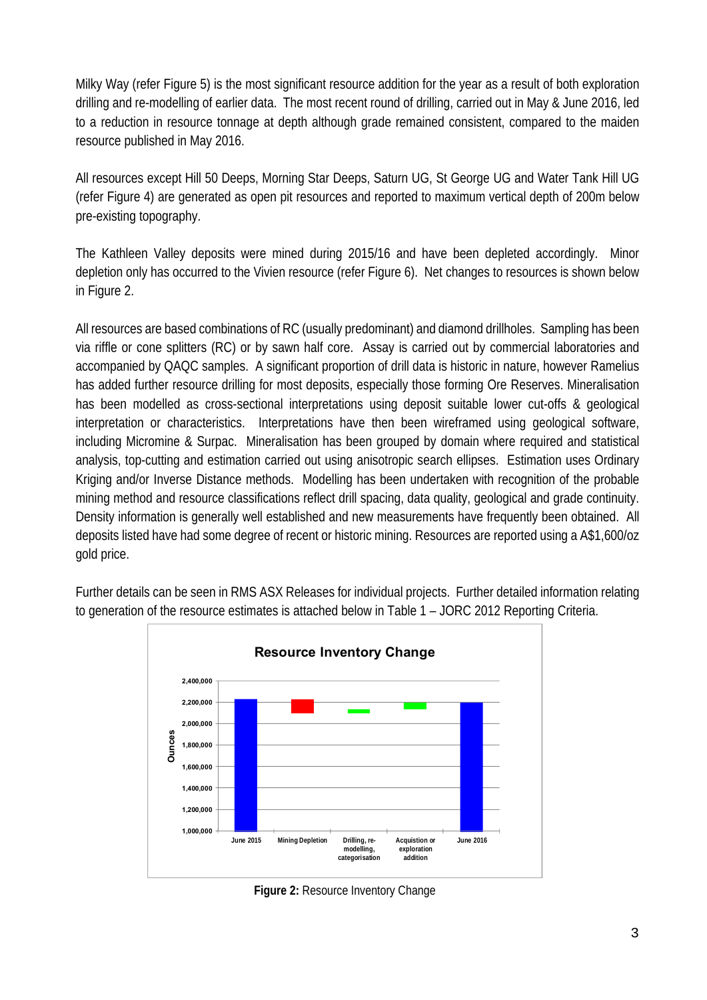Milky Way (refer Figure 5) is the most significant resource addition for the year as a result of both exploration drilling and re-modelling of earlier data. The most recent round of drilling, carried out in May & June 2016, led to a reduction in resource tonnage at depth although grade remained consistent, compared to the maiden resource published in May 2016.

All resources except Hill 50 Deeps, Morning Star Deeps, Saturn UG, St George UG and Water Tank Hill UG (refer Figure 4) are generated as open pit resources and reported to maximum vertical depth of 200m below pre-existing topography.

The Kathleen Valley deposits were mined during 2015/16 and have been depleted accordingly. Minor depletion only has occurred to the Vivien resource (refer Figure 6). Net changes to resources is shown below in Figure 2.

All resources are based combinations of RC (usually predominant) and diamond drillholes. Sampling has been via riffle or cone splitters (RC) or by sawn half core. Assay is carried out by commercial laboratories and accompanied by QAQC samples. A significant proportion of drill data is historic in nature, however Ramelius has added further resource drilling for most deposits, especially those forming Ore Reserves. Mineralisation has been modelled as cross-sectional interpretations using deposit suitable lower cut-offs & geological interpretation or characteristics. Interpretations have then been wireframed using geological software, including Micromine & Surpac. Mineralisation has been grouped by domain where required and statistical analysis, top-cutting and estimation carried out using anisotropic search ellipses. Estimation uses Ordinary Kriging and/or Inverse Distance methods. Modelling has been undertaken with recognition of the probable mining method and resource classifications reflect drill spacing, data quality, geological and grade continuity. Density information is generally well established and new measurements have frequently been obtained. All deposits listed have had some degree of recent or historic mining. Resources are reported using a A\$1,600/oz gold price.



Further details can be seen in RMS ASX Releases for individual projects. Further detailed information relating to generation of the resource estimates is attached below in Table 1 – JORC 2012 Reporting Criteria.

**Figure 2:** Resource Inventory Change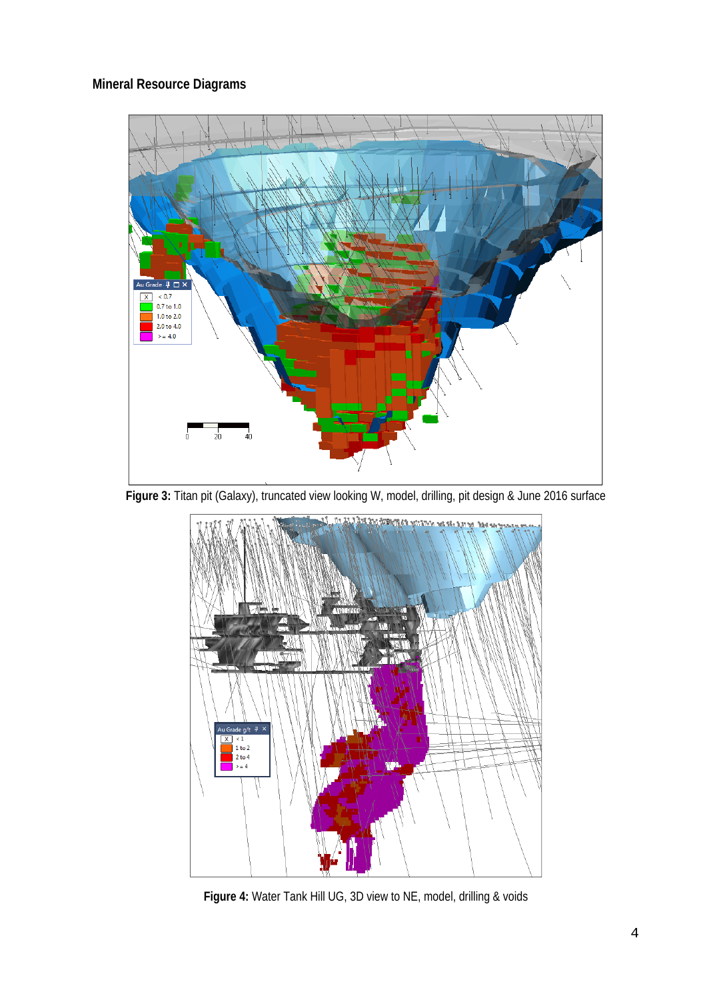# **Mineral Resource Diagrams**



Figure 3: Titan pit (Galaxy), truncated view looking W, model, drilling, pit design & June 2016 surface



**Figure 4:** Water Tank Hill UG, 3D view to NE, model, drilling & voids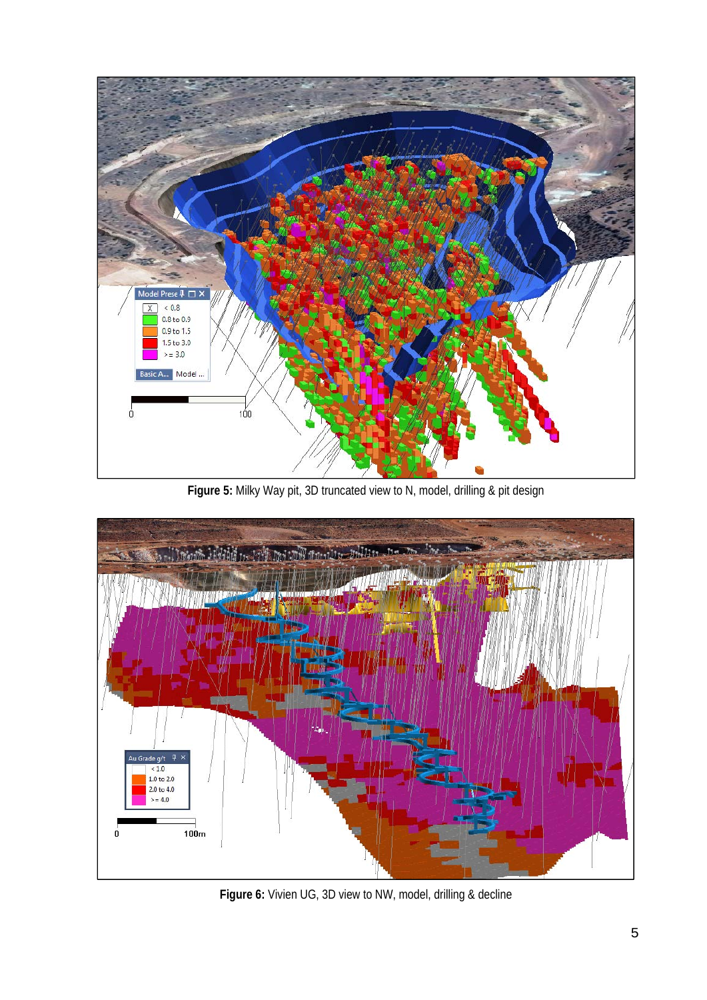

Figure 5: Milky Way pit, 3D truncated view to N, model, drilling & pit design



**Figure 6:** Vivien UG, 3D view to NW, model, drilling & decline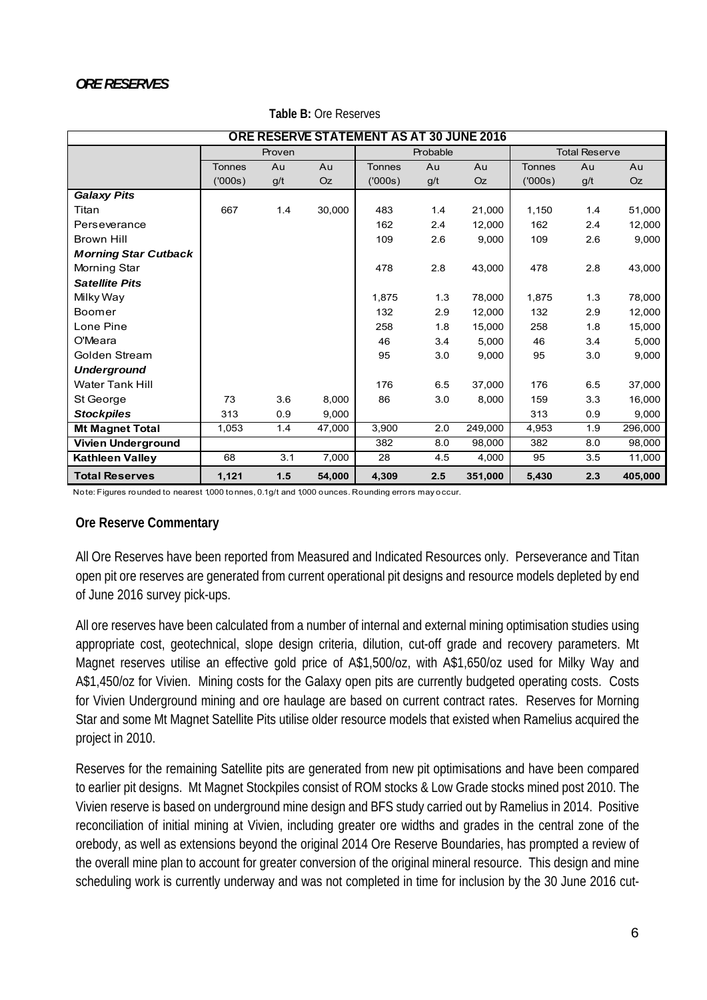| ORE RESERVE STATEMENT AS AT 30 JUNE 2016 |               |        |        |               |          |           |               |                      |         |
|------------------------------------------|---------------|--------|--------|---------------|----------|-----------|---------------|----------------------|---------|
|                                          |               | Proven |        |               | Probable |           |               | <b>Total Reserve</b> |         |
|                                          | <b>Tonnes</b> | Au     | Au     | <b>Tonnes</b> | Au       | Au        | <b>Tonnes</b> | Au                   | Au      |
|                                          | (000s)        | g/t    | Oz     | (000s)        | g/t      | <b>Oz</b> | (′000s)       | g/t                  | Oz      |
| <b>Galaxy Pits</b>                       |               |        |        |               |          |           |               |                      |         |
| Titan                                    | 667           | 1.4    | 30,000 | 483           | 1.4      | 21,000    | 1,150         | 1.4                  | 51,000  |
| Perseverance                             |               |        |        | 162           | 2.4      | 12.000    | 162           | 2.4                  | 12,000  |
| <b>Brown Hill</b>                        |               |        |        | 109           | 2.6      | 9,000     | 109           | 2.6                  | 9,000   |
| <b>Morning Star Cutback</b>              |               |        |        |               |          |           |               |                      |         |
| Morning Star                             |               |        |        | 478           | 2.8      | 43,000    | 478           | 2.8                  | 43,000  |
| <b>Satellite Pits</b>                    |               |        |        |               |          |           |               |                      |         |
| Milky Way                                |               |        |        | 1,875         | 1.3      | 78,000    | 1,875         | 1.3                  | 78,000  |
| Boomer                                   |               |        |        | 132           | 2.9      | 12,000    | 132           | 2.9                  | 12,000  |
| Lone Pine                                |               |        |        | 258           | 1.8      | 15,000    | 258           | 1.8                  | 15,000  |
| O'Meara                                  |               |        |        | 46            | 3.4      | 5,000     | 46            | 3.4                  | 5,000   |
| Golden Stream                            |               |        |        | 95            | 3.0      | 9,000     | 95            | 3.0                  | 9,000   |
| <b>Underground</b>                       |               |        |        |               |          |           |               |                      |         |
| <b>Water Tank Hill</b>                   |               |        |        | 176           | 6.5      | 37,000    | 176           | 6.5                  | 37,000  |
| St George                                | 73            | 3.6    | 8,000  | 86            | 3.0      | 8,000     | 159           | 3.3                  | 16,000  |
| <b>Stockpiles</b>                        | 313           | 0.9    | 9,000  |               |          |           | 313           | 0.9                  | 9,000   |
| <b>Mt Magnet Total</b>                   | 1,053         | 1.4    | 47,000 | 3,900         | 2.0      | 249,000   | 4,953         | 1.9                  | 296,000 |
| Vivien Underground                       |               |        |        | 382           | 8.0      | 98,000    | 382           | 8.0                  | 98,000  |
| <b>Kathleen Valley</b>                   | 68            | 3.1    | 7,000  | 28            | 4.5      | 4,000     | 95            | 3.5                  | 11,000  |
| <b>Total Reserves</b>                    | 1,121         | $1.5$  | 54,000 | 4,309         | 2.5      | 351,000   | 5,430         | 2.3                  | 405,000 |

### **Table B:** Ore Reserves

Note: Figures rounded to nearest 1,000 tonnes, 0.1 g/t and 1,000 ounces. Rounding errors may occur.

## **Ore Reserve Commentary**

All Ore Reserves have been reported from Measured and Indicated Resources only. Perseverance and Titan open pit ore reserves are generated from current operational pit designs and resource models depleted by end of June 2016 survey pick-ups.

All ore reserves have been calculated from a number of internal and external mining optimisation studies using appropriate cost, geotechnical, slope design criteria, dilution, cut-off grade and recovery parameters. Mt Magnet reserves utilise an effective gold price of A\$1,500/oz, with A\$1,650/oz used for Milky Way and A\$1,450/oz for Vivien. Mining costs for the Galaxy open pits are currently budgeted operating costs. Costs for Vivien Underground mining and ore haulage are based on current contract rates. Reserves for Morning Star and some Mt Magnet Satellite Pits utilise older resource models that existed when Ramelius acquired the project in 2010.

Reserves for the remaining Satellite pits are generated from new pit optimisations and have been compared to earlier pit designs. Mt Magnet Stockpiles consist of ROM stocks & Low Grade stocks mined post 2010. The Vivien reserve is based on underground mine design and BFS study carried out by Ramelius in 2014. Positive reconciliation of initial mining at Vivien, including greater ore widths and grades in the central zone of the orebody, as well as extensions beyond the original 2014 Ore Reserve Boundaries, has prompted a review of the overall mine plan to account for greater conversion of the original mineral resource. This design and mine scheduling work is currently underway and was not completed in time for inclusion by the 30 June 2016 cut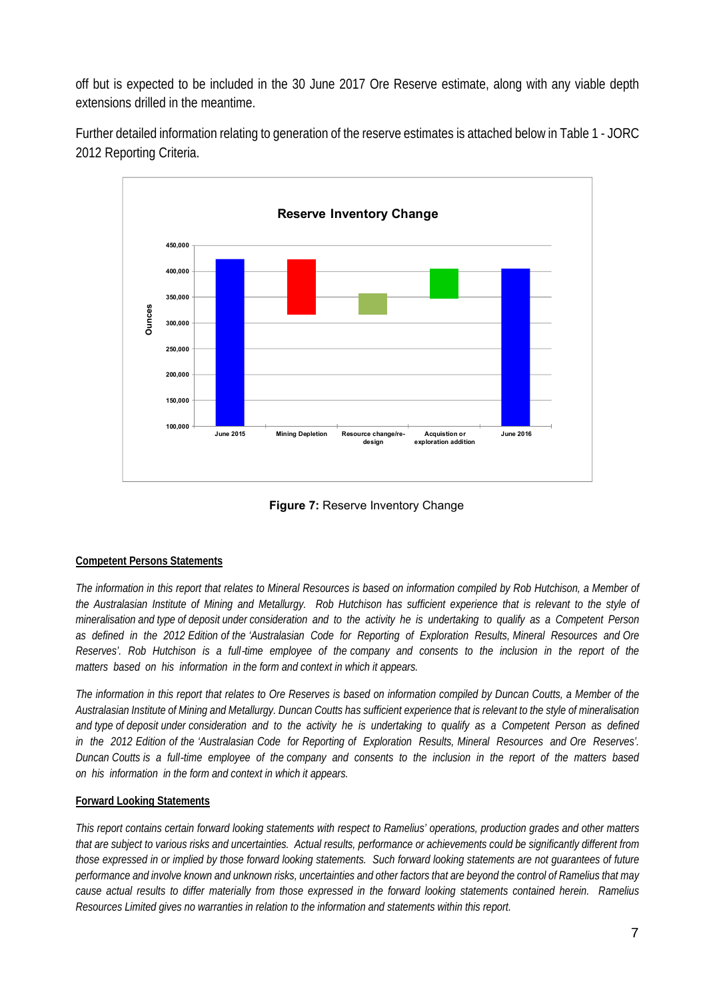off but is expected to be included in the 30 June 2017 Ore Reserve estimate, along with any viable depth extensions drilled in the meantime.

Further detailed information relating to generation of the reserve estimates is attached below in Table 1 - JORC 2012 Reporting Criteria.



**Figure 7: Reserve Inventory Change** 

## **Competent Persons Statements**

*The information in this report that relates to Mineral Resources is based on information compiled by Rob Hutchison, a Member of the Australasian Institute of Mining and Metallurgy. Rob Hutchison has sufficient experience that is relevant to the style of mineralisation and type of deposit under consideration and to the activity he is undertaking to qualify as a Competent Person as defined in the 2012 Edition of the 'Australasian Code for Reporting of Exploration Results, Mineral Resources and Ore Reserves'. Rob Hutchison is a full*‐*time employee of the company and consents to the inclusion in the report of the matters based on his information in the form and context in which it appears.* 

*The information in this report that relates to Ore Reserves is based on information compiled by Duncan Coutts, a Member of the Australasian Institute of Mining and Metallurgy. Duncan Coutts has sufficient experience that is relevant to the style of mineralisation and type of deposit under consideration and to the activity he is undertaking to qualify as a Competent Person as defined in the 2012 Edition of the 'Australasian Code for Reporting of Exploration Results, Mineral Resources and Ore Reserves'. Duncan Coutts is a full*‐*time employee of the company and consents to the inclusion in the report of the matters based on his information in the form and context in which it appears.* 

## **Forward Looking Statements**

*This report contains certain forward looking statements with respect to Ramelius' operations, production grades and other matters that are subject to various risks and uncertainties. Actual results, performance or achievements could be significantly different from those expressed in or implied by those forward looking statements. Such forward looking statements are not guarantees of future performance and involve known and unknown risks, uncertainties and other factors that are beyond the control of Ramelius that may cause actual results to differ materially from those expressed in the forward looking statements contained herein. Ramelius Resources Limited gives no warranties in relation to the information and statements within this report.*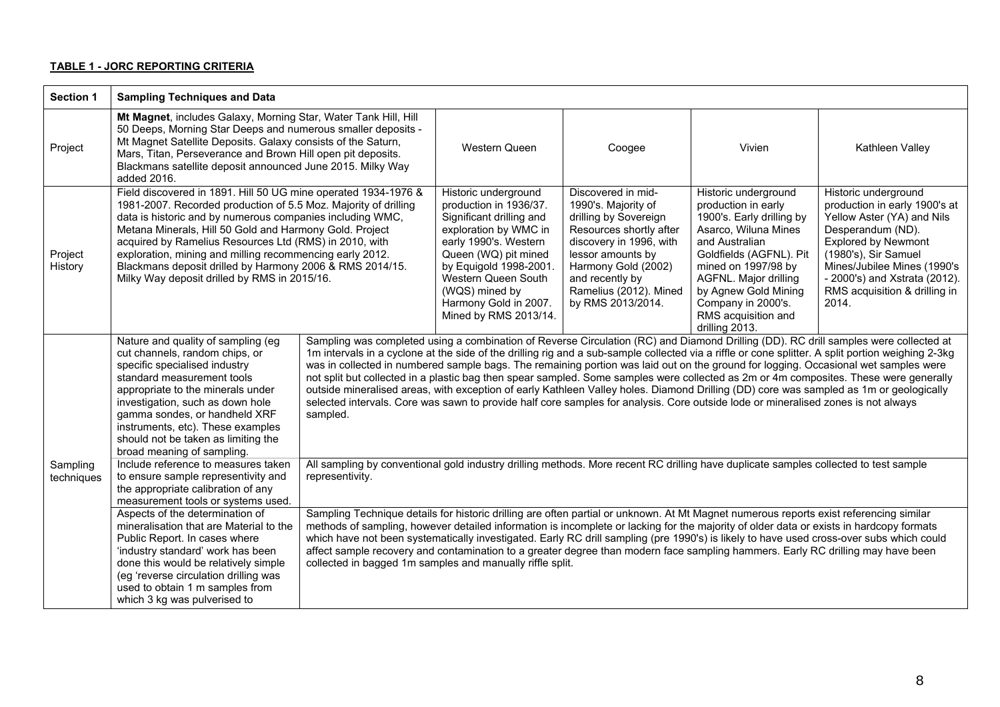### **TABLE 1 - JORC REPORTING CRITERIA**

| <b>Section 1</b>       | <b>Sampling Techniques and Data</b>                                                                                                                                                                                                                                                                                                                                                                                                                                                                                                                                                                                                                                                                                                                                                                                       |                                                                                                                                                                                                                                                                                                                                                                                                                                                                                                                                                                                                                                                                                                                                                                                                                                                                                                                                                                                                                                                                                                                                                                                                                                                                                                                                                                                                                                                                                                                                                                                                                                                                   |                                                                                                                                                                                                                                                                           |                                                                                                                                                                                                                                        |                                                                                                                                                                                                                                                                                      |                                                                                                                                                                                                                                                                          |
|------------------------|---------------------------------------------------------------------------------------------------------------------------------------------------------------------------------------------------------------------------------------------------------------------------------------------------------------------------------------------------------------------------------------------------------------------------------------------------------------------------------------------------------------------------------------------------------------------------------------------------------------------------------------------------------------------------------------------------------------------------------------------------------------------------------------------------------------------------|-------------------------------------------------------------------------------------------------------------------------------------------------------------------------------------------------------------------------------------------------------------------------------------------------------------------------------------------------------------------------------------------------------------------------------------------------------------------------------------------------------------------------------------------------------------------------------------------------------------------------------------------------------------------------------------------------------------------------------------------------------------------------------------------------------------------------------------------------------------------------------------------------------------------------------------------------------------------------------------------------------------------------------------------------------------------------------------------------------------------------------------------------------------------------------------------------------------------------------------------------------------------------------------------------------------------------------------------------------------------------------------------------------------------------------------------------------------------------------------------------------------------------------------------------------------------------------------------------------------------------------------------------------------------|---------------------------------------------------------------------------------------------------------------------------------------------------------------------------------------------------------------------------------------------------------------------------|----------------------------------------------------------------------------------------------------------------------------------------------------------------------------------------------------------------------------------------|--------------------------------------------------------------------------------------------------------------------------------------------------------------------------------------------------------------------------------------------------------------------------------------|--------------------------------------------------------------------------------------------------------------------------------------------------------------------------------------------------------------------------------------------------------------------------|
| Project                | Mt Magnet, includes Galaxy, Morning Star, Water Tank Hill, Hill<br>50 Deeps, Morning Star Deeps and numerous smaller deposits -<br>Mt Magnet Satellite Deposits. Galaxy consists of the Saturn,<br>Mars, Titan, Perseverance and Brown Hill open pit deposits.<br>Blackmans satellite deposit announced June 2015. Milky Way<br>added 2016.                                                                                                                                                                                                                                                                                                                                                                                                                                                                               |                                                                                                                                                                                                                                                                                                                                                                                                                                                                                                                                                                                                                                                                                                                                                                                                                                                                                                                                                                                                                                                                                                                                                                                                                                                                                                                                                                                                                                                                                                                                                                                                                                                                   | Western Queen                                                                                                                                                                                                                                                             | Coogee                                                                                                                                                                                                                                 | Vivien                                                                                                                                                                                                                                                                               | Kathleen Valley                                                                                                                                                                                                                                                          |
| Project<br>History     | Field discovered in 1891. Hill 50 UG mine operated 1934-1976 &<br>1981-2007. Recorded production of 5.5 Moz. Majority of drilling<br>data is historic and by numerous companies including WMC,<br>Metana Minerals, Hill 50 Gold and Harmony Gold. Project<br>acquired by Ramelius Resources Ltd (RMS) in 2010, with<br>exploration, mining and milling recommencing early 2012.<br>Blackmans deposit drilled by Harmony 2006 & RMS 2014/15.<br>Milky Way deposit drilled by RMS in 2015/16.                                                                                                                                                                                                                                                                                                                               |                                                                                                                                                                                                                                                                                                                                                                                                                                                                                                                                                                                                                                                                                                                                                                                                                                                                                                                                                                                                                                                                                                                                                                                                                                                                                                                                                                                                                                                                                                                                                                                                                                                                   | Historic underground<br>production in 1936/37.<br>Significant drilling and<br>exploration by WMC in<br>early 1990's. Western<br>Queen (WQ) pit mined<br>by Equigold 1998-2001.<br>Western Queen South<br>(WQS) mined by<br>Harmony Gold in 2007.<br>Mined by RMS 2013/14. | Discovered in mid-<br>1990's. Majority of<br>drilling by Sovereign<br>Resources shortly after<br>discovery in 1996, with<br>lessor amounts by<br>Harmony Gold (2002)<br>and recently by<br>Ramelius (2012). Mined<br>by RMS 2013/2014. | Historic underground<br>production in early<br>1900's. Early drilling by<br>Asarco, Wiluna Mines<br>and Australian<br>Goldfields (AGFNL). Pit<br>mined on 1997/98 by<br>AGFNL. Major drilling<br>by Agnew Gold Mining<br>Company in 2000's.<br>RMS acquisition and<br>drilling 2013. | Historic underground<br>production in early 1900's at<br>Yellow Aster (YA) and Nils<br>Desperandum (ND).<br><b>Explored by Newmont</b><br>(1980's), Sir Samuel<br>Mines/Jubilee Mines (1990's<br>- 2000's) and Xstrata (2012).<br>RMS acquisition & drilling in<br>2014. |
| Sampling<br>techniques | Nature and quality of sampling (eg<br>cut channels, random chips, or<br>specific specialised industry<br>standard measurement tools<br>appropriate to the minerals under<br>investigation, such as down hole<br>gamma sondes, or handheld XRF<br>instruments, etc). These examples<br>should not be taken as limiting the<br>broad meaning of sampling.<br>Include reference to measures taken<br>to ensure sample representivity and<br>the appropriate calibration of any<br>measurement tools or systems used.<br>Aspects of the determination of<br>mineralisation that are Material to the<br>Public Report. In cases where<br>'industry standard' work has been<br>done this would be relatively simple<br>(eg 'reverse circulation drilling was<br>used to obtain 1 m samples from<br>which 3 kg was pulverised to | Sampling was completed using a combination of Reverse Circulation (RC) and Diamond Drilling (DD). RC drill samples were collected at<br>1m intervals in a cyclone at the side of the drilling rig and a sub-sample collected via a riffle or cone splitter. A split portion weighing 2-3kg<br>was in collected in numbered sample bags. The remaining portion was laid out on the ground for logging. Occasional wet samples were<br>not split but collected in a plastic bag then spear sampled. Some samples were collected as 2m or 4m composites. These were generally<br>outside mineralised areas, with exception of early Kathleen Valley holes. Diamond Drilling (DD) core was sampled as 1m or geologically<br>selected intervals. Core was sawn to provide half core samples for analysis. Core outside lode or mineralised zones is not always<br>sampled.<br>All sampling by conventional gold industry drilling methods. More recent RC drilling have duplicate samples collected to test sample<br>representivity.<br>Sampling Technique details for historic drilling are often partial or unknown. At Mt Magnet numerous reports exist referencing similar<br>methods of sampling, however detailed information is incomplete or lacking for the majority of older data or exists in hardcopy formats<br>which have not been systematically investigated. Early RC drill sampling (pre 1990's) is likely to have used cross-over subs which could<br>affect sample recovery and contamination to a greater degree than modern face sampling hammers. Early RC drilling may have been<br>collected in bagged 1m samples and manually riffle split. |                                                                                                                                                                                                                                                                           |                                                                                                                                                                                                                                        |                                                                                                                                                                                                                                                                                      |                                                                                                                                                                                                                                                                          |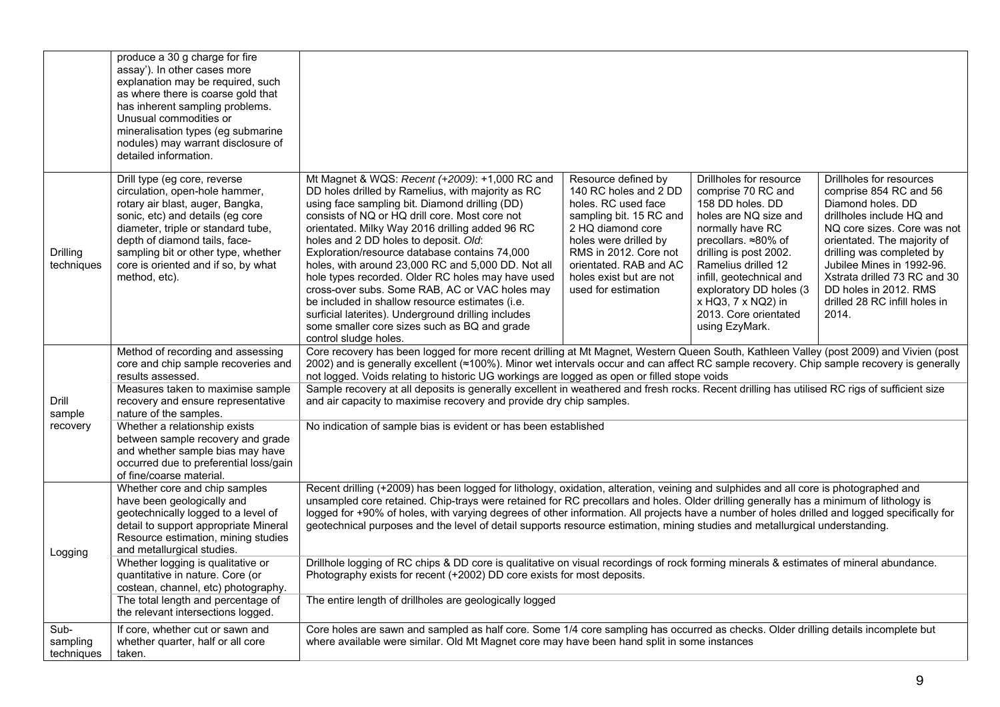|                                | produce a 30 g charge for fire<br>assay'). In other cases more<br>explanation may be required, such<br>as where there is coarse gold that<br>has inherent sampling problems.<br>Unusual commodities or<br>mineralisation types (eg submarine<br>nodules) may warrant disclosure of<br>detailed information.  |                                                                                                                                                                                                                                                                                                                                                                                                                                                                                                                                                                                                                                                                                                                                                                                                                                                                                                                                                                                                                                                                                                                                                                                                                                                                                                                                                                                                                                                                                                                                                                                                                |
|--------------------------------|--------------------------------------------------------------------------------------------------------------------------------------------------------------------------------------------------------------------------------------------------------------------------------------------------------------|----------------------------------------------------------------------------------------------------------------------------------------------------------------------------------------------------------------------------------------------------------------------------------------------------------------------------------------------------------------------------------------------------------------------------------------------------------------------------------------------------------------------------------------------------------------------------------------------------------------------------------------------------------------------------------------------------------------------------------------------------------------------------------------------------------------------------------------------------------------------------------------------------------------------------------------------------------------------------------------------------------------------------------------------------------------------------------------------------------------------------------------------------------------------------------------------------------------------------------------------------------------------------------------------------------------------------------------------------------------------------------------------------------------------------------------------------------------------------------------------------------------------------------------------------------------------------------------------------------------|
| Drilling<br>techniques         | Drill type (eg core, reverse<br>circulation, open-hole hammer,<br>rotary air blast, auger, Bangka,<br>sonic, etc) and details (eg core<br>diameter, triple or standard tube,<br>depth of diamond tails, face-<br>sampling bit or other type, whether<br>core is oriented and if so, by what<br>method, etc). | Mt Magnet & WQS: Recent (+2009): +1,000 RC and<br>Resource defined by<br>Drillholes for resource<br>Drillholes for resources<br>DD holes drilled by Ramelius, with majority as RC<br>140 RC holes and 2 DD<br>comprise 70 RC and<br>comprise 854 RC and 56<br>using face sampling bit. Diamond drilling (DD)<br>holes. RC used face<br>158 DD holes. DD<br>Diamond holes. DD<br>consists of NQ or HQ drill core. Most core not<br>sampling bit. 15 RC and<br>holes are NQ size and<br>drillholes include HQ and<br>orientated. Milky Way 2016 drilling added 96 RC<br>2 HQ diamond core<br>normally have RC<br>NQ core sizes. Core was not<br>holes and 2 DD holes to deposit. Old:<br>holes were drilled by<br>precollars. ≈80% of<br>orientated. The majority of<br>Exploration/resource database contains 74,000<br>RMS in 2012. Core not<br>drilling is post 2002.<br>drilling was completed by<br>holes, with around 23,000 RC and 5,000 DD. Not all<br>orientated. RAB and AC<br>Ramelius drilled 12<br>Jubilee Mines in 1992-96.<br>hole types recorded. Older RC holes may have used<br>Xstrata drilled 73 RC and 30<br>holes exist but are not<br>infill, geotechnical and<br>cross-over subs. Some RAB, AC or VAC holes may<br>exploratory DD holes (3<br>DD holes in 2012. RMS<br>used for estimation<br>x HQ3, 7 x NQ2) in<br>drilled 28 RC infill holes in<br>be included in shallow resource estimates (i.e.<br>2013. Core orientated<br>surficial laterites). Underground drilling includes<br>2014.<br>using EzyMark.<br>some smaller core sizes such as BQ and grade<br>control sludge holes. |
| Drill<br>sample                | Method of recording and assessing<br>core and chip sample recoveries and<br>results assessed.<br>Measures taken to maximise sample<br>recovery and ensure representative<br>nature of the samples.                                                                                                           | Core recovery has been logged for more recent drilling at Mt Magnet, Western Queen South, Kathleen Valley (post 2009) and Vivien (post<br>2002) and is generally excellent (≈100%). Minor wet intervals occur and can affect RC sample recovery. Chip sample recovery is generally<br>not logged. Voids relating to historic UG workings are logged as open or filled stope voids<br>Sample recovery at all deposits is generally excellent in weathered and fresh rocks. Recent drilling has utilised RC rigs of sufficient size<br>and air capacity to maximise recovery and provide dry chip samples.                                                                                                                                                                                                                                                                                                                                                                                                                                                                                                                                                                                                                                                                                                                                                                                                                                                                                                                                                                                                       |
| recovery                       | Whether a relationship exists<br>between sample recovery and grade<br>and whether sample bias may have<br>occurred due to preferential loss/gain<br>of fine/coarse material.                                                                                                                                 | No indication of sample bias is evident or has been established                                                                                                                                                                                                                                                                                                                                                                                                                                                                                                                                                                                                                                                                                                                                                                                                                                                                                                                                                                                                                                                                                                                                                                                                                                                                                                                                                                                                                                                                                                                                                |
| Logging                        | Whether core and chip samples<br>have been geologically and<br>geotechnically logged to a level of<br>detail to support appropriate Mineral<br>Resource estimation, mining studies<br>and metallurgical studies.                                                                                             | Recent drilling (+2009) has been logged for lithology, oxidation, alteration, veining and sulphides and all core is photographed and<br>unsampled core retained. Chip-trays were retained for RC precollars and holes. Older drilling generally has a minimum of lithology is<br>logged for +90% of holes, with varying degrees of other information. All projects have a number of holes drilled and logged specifically for<br>geotechnical purposes and the level of detail supports resource estimation, mining studies and metallurgical understanding.                                                                                                                                                                                                                                                                                                                                                                                                                                                                                                                                                                                                                                                                                                                                                                                                                                                                                                                                                                                                                                                   |
|                                | Whether logging is qualitative or<br>quantitative in nature. Core (or<br>costean, channel, etc) photography.<br>The total length and percentage of                                                                                                                                                           | Drillhole logging of RC chips & DD core is qualitative on visual recordings of rock forming minerals & estimates of mineral abundance.<br>Photography exists for recent (+2002) DD core exists for most deposits.<br>The entire length of drillholes are geologically logged                                                                                                                                                                                                                                                                                                                                                                                                                                                                                                                                                                                                                                                                                                                                                                                                                                                                                                                                                                                                                                                                                                                                                                                                                                                                                                                                   |
| Sub-<br>sampling<br>techniques | the relevant intersections logged.<br>If core, whether cut or sawn and<br>whether quarter, half or all core<br>taken.                                                                                                                                                                                        | Core holes are sawn and sampled as half core. Some 1/4 core sampling has occurred as checks. Older drilling details incomplete but<br>where available were similar. Old Mt Magnet core may have been hand split in some instances                                                                                                                                                                                                                                                                                                                                                                                                                                                                                                                                                                                                                                                                                                                                                                                                                                                                                                                                                                                                                                                                                                                                                                                                                                                                                                                                                                              |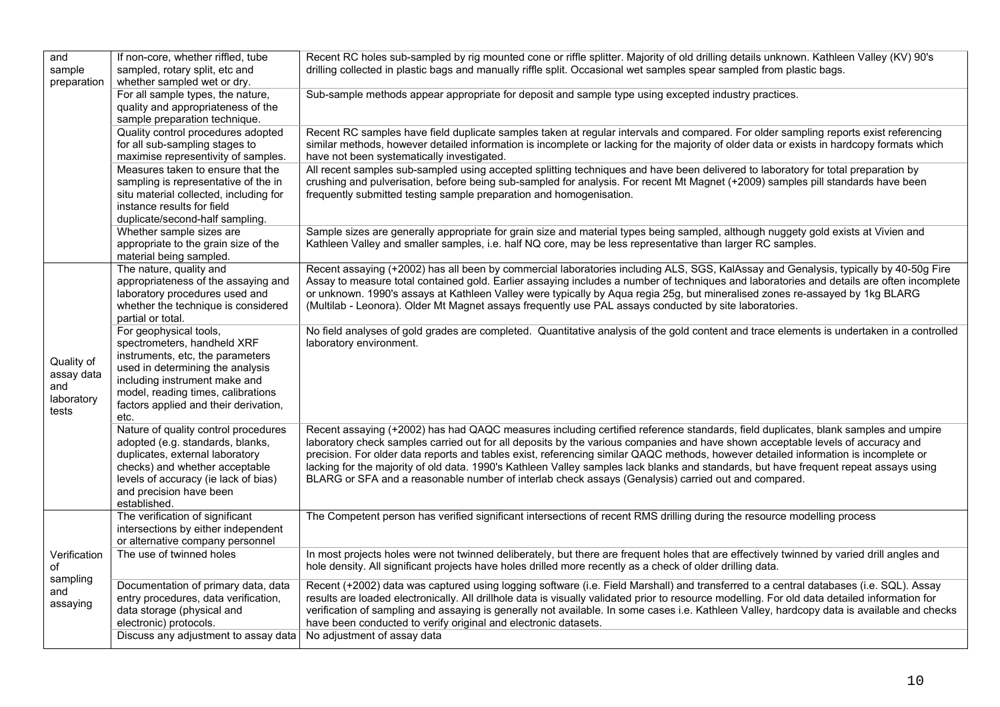| and<br>sample<br>preparation                           | If non-core, whether riffled, tube<br>sampled, rotary split, etc and<br>whether sampled wet or dry.                                                                                                                                                   | Recent RC holes sub-sampled by rig mounted cone or riffle splitter. Majority of old drilling details unknown. Kathleen Valley (KV) 90's<br>drilling collected in plastic bags and manually riffle split. Occasional wet samples spear sampled from plastic bags.                                                                                                                                                                                                                                                                                                                                                                                            |
|--------------------------------------------------------|-------------------------------------------------------------------------------------------------------------------------------------------------------------------------------------------------------------------------------------------------------|-------------------------------------------------------------------------------------------------------------------------------------------------------------------------------------------------------------------------------------------------------------------------------------------------------------------------------------------------------------------------------------------------------------------------------------------------------------------------------------------------------------------------------------------------------------------------------------------------------------------------------------------------------------|
|                                                        | For all sample types, the nature,<br>quality and appropriateness of the<br>sample preparation technique.                                                                                                                                              | Sub-sample methods appear appropriate for deposit and sample type using excepted industry practices.                                                                                                                                                                                                                                                                                                                                                                                                                                                                                                                                                        |
|                                                        | Quality control procedures adopted<br>for all sub-sampling stages to<br>maximise representivity of samples.                                                                                                                                           | Recent RC samples have field duplicate samples taken at regular intervals and compared. For older sampling reports exist referencing<br>similar methods, however detailed information is incomplete or lacking for the majority of older data or exists in hardcopy formats which<br>have not been systematically investigated.                                                                                                                                                                                                                                                                                                                             |
|                                                        | Measures taken to ensure that the<br>sampling is representative of the in<br>situ material collected, including for<br>instance results for field<br>duplicate/second-half sampling.                                                                  | All recent samples sub-sampled using accepted splitting techniques and have been delivered to laboratory for total preparation by<br>crushing and pulverisation, before being sub-sampled for analysis. For recent Mt Magnet (+2009) samples pill standards have been<br>frequently submitted testing sample preparation and homogenisation.                                                                                                                                                                                                                                                                                                                |
|                                                        | Whether sample sizes are<br>appropriate to the grain size of the<br>material being sampled.                                                                                                                                                           | Sample sizes are generally appropriate for grain size and material types being sampled, although nuggety gold exists at Vivien and<br>Kathleen Valley and smaller samples, i.e. half NQ core, may be less representative than larger RC samples.                                                                                                                                                                                                                                                                                                                                                                                                            |
|                                                        | The nature, quality and<br>appropriateness of the assaying and<br>laboratory procedures used and<br>whether the technique is considered<br>partial or total.                                                                                          | Recent assaying (+2002) has all been by commercial laboratories including ALS, SGS, KalAssay and Genalysis, typically by 40-50g Fire<br>Assay to measure total contained gold. Earlier assaying includes a number of techniques and laboratories and details are often incomplete<br>or unknown. 1990's assays at Kathleen Valley were typically by Aqua regia 25g, but mineralised zones re-assayed by 1kg BLARG<br>(Multilab - Leonora). Older Mt Magnet assays frequently use PAL assays conducted by site laboratories.                                                                                                                                 |
| Quality of<br>assay data<br>and<br>laboratory<br>tests | For geophysical tools,<br>spectrometers, handheld XRF<br>instruments, etc, the parameters<br>used in determining the analysis<br>including instrument make and<br>model, reading times, calibrations<br>factors applied and their derivation,<br>etc. | No field analyses of gold grades are completed. Quantitative analysis of the gold content and trace elements is undertaken in a controlled<br>laboratory environment.                                                                                                                                                                                                                                                                                                                                                                                                                                                                                       |
|                                                        | Nature of quality control procedures<br>adopted (e.g. standards, blanks,<br>duplicates, external laboratory<br>checks) and whether acceptable<br>levels of accuracy (ie lack of bias)<br>and precision have been<br>established.                      | Recent assaying (+2002) has had QAQC measures including certified reference standards, field duplicates, blank samples and umpire<br>laboratory check samples carried out for all deposits by the various companies and have shown acceptable levels of accuracy and<br>precision. For older data reports and tables exist, referencing similar QAQC methods, however detailed information is incomplete or<br>lacking for the majority of old data. 1990's Kathleen Valley samples lack blanks and standards, but have frequent repeat assays using<br>BLARG or SFA and a reasonable number of interlab check assays (Genalysis) carried out and compared. |
|                                                        | The verification of significant<br>intersections by either independent<br>or alternative company personnel                                                                                                                                            | The Competent person has verified significant intersections of recent RMS drilling during the resource modelling process                                                                                                                                                                                                                                                                                                                                                                                                                                                                                                                                    |
| Verification<br>of                                     | The use of twinned holes                                                                                                                                                                                                                              | In most projects holes were not twinned deliberately, but there are frequent holes that are effectively twinned by varied drill angles and<br>hole density. All significant projects have holes drilled more recently as a check of older drilling data.                                                                                                                                                                                                                                                                                                                                                                                                    |
| sampling<br>and<br>assaying                            | Documentation of primary data, data<br>entry procedures, data verification,<br>data storage (physical and<br>electronic) protocols.                                                                                                                   | Recent (+2002) data was captured using logging software (i.e. Field Marshall) and transferred to a central databases (i.e. SQL). Assay<br>results are loaded electronically. All drillhole data is visually validated prior to resource modelling. For old data detailed information for<br>verification of sampling and assaying is generally not available. In some cases i.e. Kathleen Valley, hardcopy data is available and checks<br>have been conducted to verify original and electronic datasets.                                                                                                                                                  |
|                                                        | Discuss any adjustment to assay data                                                                                                                                                                                                                  | No adjustment of assay data                                                                                                                                                                                                                                                                                                                                                                                                                                                                                                                                                                                                                                 |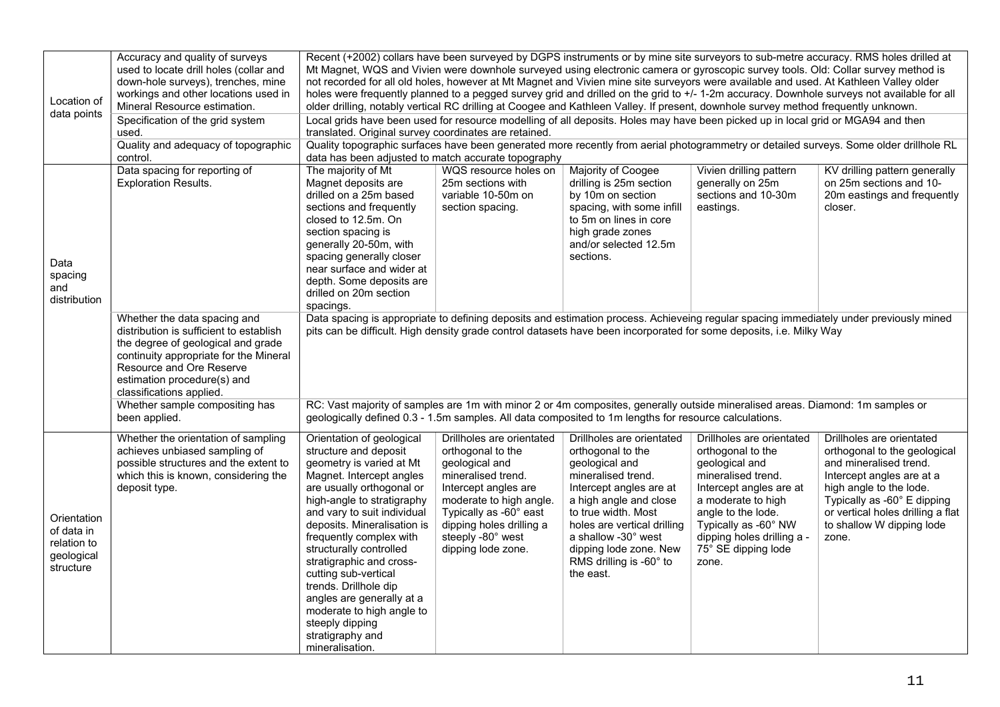| Location of<br>data points                                          | Accuracy and quality of surveys<br>used to locate drill holes (collar and<br>down-hole surveys), trenches, mine<br>workings and other locations used in<br>Mineral Resource estimation.<br>Specification of the grid system                                                      | Recent (+2002) collars have been surveyed by DGPS instruments or by mine site surveyors to sub-metre accuracy. RMS holes drilled at<br>Mt Magnet, WQS and Vivien were downhole surveyed using electronic camera or gyroscopic survey tools. Old: Collar survey method is<br>not recorded for all old holes, however at Mt Magnet and Vivien mine site surveyors were available and used. At Kathleen Valley older<br>holes were frequently planned to a pegged survey grid and drilled on the grid to +/- 1-2m accuracy. Downhole surveys not available for all<br>older drilling, notably vertical RC drilling at Coogee and Kathleen Valley. If present, downhole survey method frequently unknown.<br>Local grids have been used for resource modelling of all deposits. Holes may have been picked up in local grid or MGA94 and then |                                                                                                                                                                                                                                            |                                                                                                                                                                                                                                                                                            |                                                                                                                                                                                                                                                     |                                                                                                                                                                                                                                                       |  |  |  |
|---------------------------------------------------------------------|----------------------------------------------------------------------------------------------------------------------------------------------------------------------------------------------------------------------------------------------------------------------------------|-------------------------------------------------------------------------------------------------------------------------------------------------------------------------------------------------------------------------------------------------------------------------------------------------------------------------------------------------------------------------------------------------------------------------------------------------------------------------------------------------------------------------------------------------------------------------------------------------------------------------------------------------------------------------------------------------------------------------------------------------------------------------------------------------------------------------------------------|--------------------------------------------------------------------------------------------------------------------------------------------------------------------------------------------------------------------------------------------|--------------------------------------------------------------------------------------------------------------------------------------------------------------------------------------------------------------------------------------------------------------------------------------------|-----------------------------------------------------------------------------------------------------------------------------------------------------------------------------------------------------------------------------------------------------|-------------------------------------------------------------------------------------------------------------------------------------------------------------------------------------------------------------------------------------------------------|--|--|--|
|                                                                     | used.<br>Quality and adequacy of topographic                                                                                                                                                                                                                                     |                                                                                                                                                                                                                                                                                                                                                                                                                                                                                                                                                                                                                                                                                                                                                                                                                                           | translated. Original survey coordinates are retained.<br>Quality topographic surfaces have been generated more recently from aerial photogrammetry or detailed surveys. Some older drillhole RL                                            |                                                                                                                                                                                                                                                                                            |                                                                                                                                                                                                                                                     |                                                                                                                                                                                                                                                       |  |  |  |
| Data<br>spacing<br>and<br>distribution                              | control.<br>Data spacing for reporting of<br><b>Exploration Results.</b>                                                                                                                                                                                                         | data has been adjusted to match accurate topography<br>The majority of Mt<br>Magnet deposits are<br>drilled on a 25m based<br>sections and frequently<br>closed to 12.5m. On<br>section spacing is<br>generally 20-50m, with<br>spacing generally closer<br>near surface and wider at<br>depth. Some deposits are<br>drilled on 20m section<br>spacings.                                                                                                                                                                                                                                                                                                                                                                                                                                                                                  | WQS resource holes on<br>25m sections with<br>variable 10-50m on<br>section spacing.                                                                                                                                                       | Majority of Coogee<br>drilling is 25m section<br>by 10m on section<br>spacing, with some infill<br>to 5m on lines in core<br>high grade zones<br>and/or selected 12.5m<br>sections.                                                                                                        | Vivien drilling pattern<br>generally on 25m<br>sections and 10-30m<br>eastings.                                                                                                                                                                     | KV drilling pattern generally<br>on 25m sections and 10-<br>20m eastings and frequently<br>closer.                                                                                                                                                    |  |  |  |
|                                                                     | Whether the data spacing and<br>distribution is sufficient to establish<br>the degree of geological and grade<br>continuity appropriate for the Mineral<br>Resource and Ore Reserve<br>estimation procedure(s) and<br>classifications applied.<br>Whether sample compositing has | pits can be difficult. High density grade control datasets have been incorporated for some deposits, i.e. Milky Way<br>RC: Vast majority of samples are 1m with minor 2 or 4m composites, generally outside mineralised areas. Diamond: 1m samples or                                                                                                                                                                                                                                                                                                                                                                                                                                                                                                                                                                                     |                                                                                                                                                                                                                                            |                                                                                                                                                                                                                                                                                            |                                                                                                                                                                                                                                                     | Data spacing is appropriate to defining deposits and estimation process. Achieveing regular spacing immediately under previously mined                                                                                                                |  |  |  |
|                                                                     | been applied.                                                                                                                                                                                                                                                                    | geologically defined 0.3 - 1.5m samples. All data composited to 1m lengths for resource calculations.                                                                                                                                                                                                                                                                                                                                                                                                                                                                                                                                                                                                                                                                                                                                     |                                                                                                                                                                                                                                            |                                                                                                                                                                                                                                                                                            |                                                                                                                                                                                                                                                     |                                                                                                                                                                                                                                                       |  |  |  |
| Orientation<br>of data in<br>relation to<br>geological<br>structure | Whether the orientation of sampling<br>achieves unbiased sampling of<br>possible structures and the extent to<br>which this is known, considering the<br>deposit type.                                                                                                           | Orientation of geological<br>structure and deposit<br>geometry is varied at Mt<br>Magnet. Intercept angles<br>are usually orthogonal or<br>high-angle to stratigraphy<br>and vary to suit individual<br>deposits. Mineralisation is<br>frequently complex with<br>structurally controlled<br>stratigraphic and cross-<br>cutting sub-vertical<br>trends. Drillhole dip<br>angles are generally at a<br>moderate to high angle to<br>steeply dipping<br>stratigraphy and<br>mineralisation.                                                                                                                                                                                                                                                                                                                                                | Drillholes are orientated<br>orthogonal to the<br>geological and<br>mineralised trend.<br>Intercept angles are<br>moderate to high angle.<br>Typically as -60° east<br>dipping holes drilling a<br>steeply -80° west<br>dipping lode zone. | Drillholes are orientated<br>orthogonal to the<br>geological and<br>mineralised trend.<br>Intercept angles are at<br>a high angle and close<br>to true width. Most<br>holes are vertical drilling<br>a shallow -30° west<br>dipping lode zone. New<br>RMS drilling is -60° to<br>the east. | Drillholes are orientated<br>orthogonal to the<br>geological and<br>mineralised trend.<br>Intercept angles are at<br>a moderate to high<br>angle to the lode.<br>Typically as -60° NW<br>dipping holes drilling a -<br>75° SE dipping lode<br>zone. | Drillholes are orientated<br>orthogonal to the geological<br>and mineralised trend.<br>Intercept angles are at a<br>high angle to the lode.<br>Typically as -60° E dipping<br>or vertical holes drilling a flat<br>to shallow W dipping lode<br>zone. |  |  |  |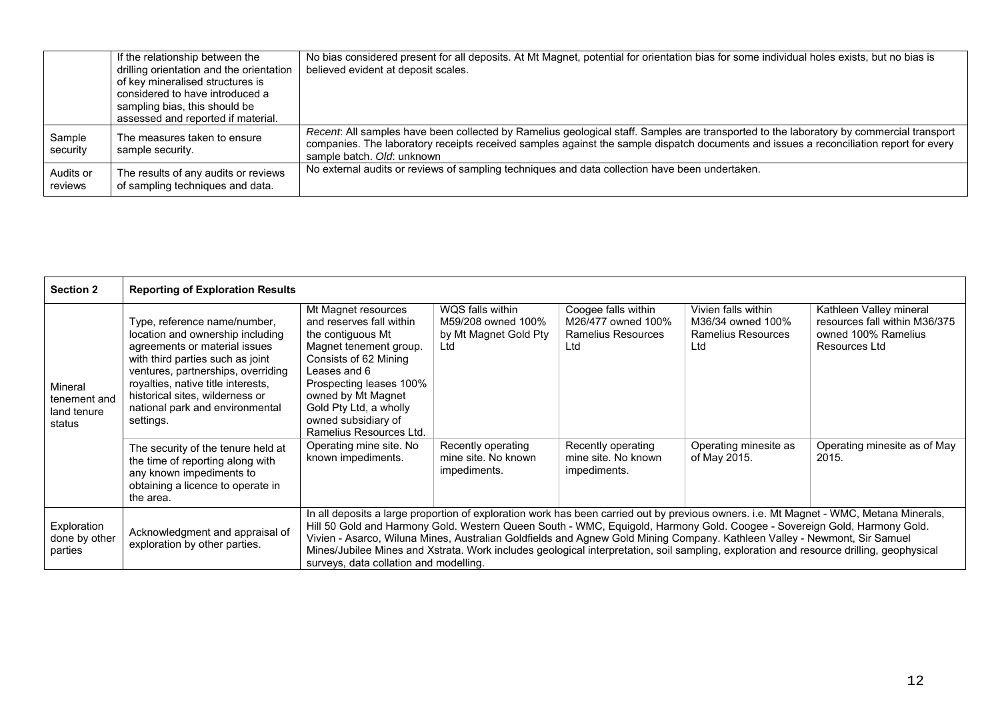|                      | If the relationship between the<br>drilling orientation and the orientation<br>of key mineralised structures is<br>considered to have introduced a<br>sampling bias, this should be<br>assessed and reported if material. | No bias considered present for all deposits. At Mt Magnet, potential for orientation bias for some individual holes exists, but no bias is<br>believed evident at deposit scales.                                                                                                                               |
|----------------------|---------------------------------------------------------------------------------------------------------------------------------------------------------------------------------------------------------------------------|-----------------------------------------------------------------------------------------------------------------------------------------------------------------------------------------------------------------------------------------------------------------------------------------------------------------|
| Sample<br>security   | The measures taken to ensure<br>sample security.                                                                                                                                                                          | Recent: All samples have been collected by Ramelius geological staff. Samples are transported to the laboratory by commercial transport<br>companies. The laboratory receipts received samples against the sample dispatch documents and issues a reconciliation report for every<br>sample batch. Old: unknown |
| Audits or<br>reviews | The results of any audits or reviews<br>of sampling techniques and data.                                                                                                                                                  | No external audits or reviews of sampling techniques and data collection have been undertaken.                                                                                                                                                                                                                  |

| <b>Section 2</b>                                 | <b>Reporting of Exploration Results</b>                                                                                                                                                                                                                                                              |                                                                                                                                                                                                                                                                                                                                                                                                                                                                                                                                                                                      |                                                                        |                                                                               |                                                                       |                                                                                                  |
|--------------------------------------------------|------------------------------------------------------------------------------------------------------------------------------------------------------------------------------------------------------------------------------------------------------------------------------------------------------|--------------------------------------------------------------------------------------------------------------------------------------------------------------------------------------------------------------------------------------------------------------------------------------------------------------------------------------------------------------------------------------------------------------------------------------------------------------------------------------------------------------------------------------------------------------------------------------|------------------------------------------------------------------------|-------------------------------------------------------------------------------|-----------------------------------------------------------------------|--------------------------------------------------------------------------------------------------|
| Mineral<br>tenement and<br>land tenure<br>status | Type, reference name/number,<br>location and ownership including<br>agreements or material issues<br>with third parties such as joint<br>ventures, partnerships, overriding<br>royalties, native title interests,<br>historical sites, wilderness or<br>national park and environmental<br>settings. | Mt Magnet resources<br>and reserves fall within<br>the contiguous Mt<br>Magnet tenement group.<br>Consists of 62 Mining<br>Leases and 6<br>Prospecting leases 100%<br>owned by Mt Magnet<br>Gold Pty Ltd, a wholly<br>owned subsidiary of<br>Ramelius Resources Ltd.                                                                                                                                                                                                                                                                                                                 | WQS falls within<br>M59/208 owned 100%<br>by Mt Magnet Gold Pty<br>Ltd | Coogee falls within<br>M26/477 owned 100%<br><b>Ramelius Resources</b><br>Ltd | Vivien falls within<br>M36/34 owned 100%<br>Ramelius Resources<br>Ltd | Kathleen Valley mineral<br>resources fall within M36/375<br>owned 100% Ramelius<br>Resources Ltd |
|                                                  | The security of the tenure held at<br>the time of reporting along with<br>any known impediments to<br>obtaining a licence to operate in<br>the area.                                                                                                                                                 | Operating mine site. No<br>known impediments.                                                                                                                                                                                                                                                                                                                                                                                                                                                                                                                                        | Recently operating<br>mine site. No known<br>impediments.              | Recently operating<br>mine site. No known<br>impediments.                     | Operating minesite as<br>of May 2015.                                 | Operating minesite as of May<br>2015.                                                            |
| Exploration<br>done by other<br>parties          | Acknowledgment and appraisal of<br>exploration by other parties.                                                                                                                                                                                                                                     | In all deposits a large proportion of exploration work has been carried out by previous owners. i.e. Mt Magnet - WMC, Metana Minerals,<br>Hill 50 Gold and Harmony Gold. Western Queen South - WMC, Equigold, Harmony Gold. Coogee - Sovereign Gold, Harmony Gold.<br>Vivien - Asarco, Wiluna Mines, Australian Goldfields and Agnew Gold Mining Company. Kathleen Valley - Newmont, Sir Samuel<br>Mines/Jubilee Mines and Xstrata. Work includes geological interpretation, soil sampling, exploration and resource drilling, geophysical<br>surveys, data collation and modelling. |                                                                        |                                                                               |                                                                       |                                                                                                  |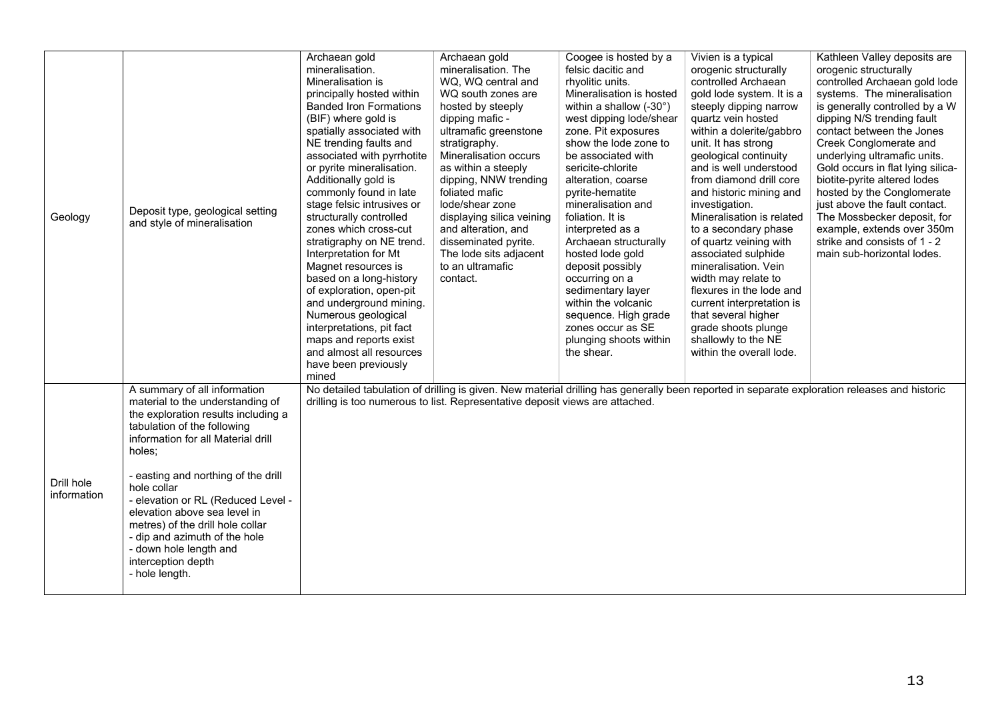| Geology                   | Deposit type, geological setting<br>and style of mineralisation                                                                                                                                                                                                                                                                                                                                                                                           | Archaean gold<br>mineralisation.<br>Mineralisation is<br>principally hosted within<br><b>Banded Iron Formations</b><br>(BIF) where gold is<br>spatially associated with<br>NE trending faults and<br>associated with pyrrhotite<br>or pyrite mineralisation.<br>Additionally gold is<br>commonly found in late<br>stage felsic intrusives or<br>structurally controlled<br>zones which cross-cut<br>stratigraphy on NE trend.<br>Interpretation for Mt<br>Magnet resources is<br>based on a long-history<br>of exploration, open-pit<br>and underground mining.<br>Numerous geological<br>interpretations, pit fact<br>maps and reports exist<br>and almost all resources<br>have been previously<br>mined | Archaean gold<br>mineralisation. The<br>WQ, WQ central and<br>WQ south zones are<br>hosted by steeply<br>dipping mafic -<br>ultramafic greenstone<br>stratigraphy.<br>Mineralisation occurs<br>as within a steeply<br>dipping, NNW trending<br>foliated mafic<br>lode/shear zone<br>displaying silica veining<br>and alteration, and<br>disseminated pyrite.<br>The lode sits adjacent<br>to an ultramafic<br>contact. | Coogee is hosted by a<br>felsic dacitic and<br>rhyolitic units.<br>Mineralisation is hosted<br>within a shallow (-30°)<br>west dipping lode/shear<br>zone. Pit exposures<br>show the lode zone to<br>be associated with<br>sericite-chlorite<br>alteration, coarse<br>pyrite-hematite<br>mineralisation and<br>foliation. It is<br>interpreted as a<br>Archaean structurally<br>hosted lode gold<br>deposit possibly<br>occurring on a<br>sedimentary layer<br>within the volcanic<br>sequence. High grade<br>zones occur as SE<br>plunging shoots within<br>the shear. | Vivien is a typical<br>orogenic structurally<br>controlled Archaean<br>gold lode system. It is a<br>steeply dipping narrow<br>quartz vein hosted<br>within a dolerite/gabbro<br>unit. It has strong<br>geological continuity<br>and is well understood<br>from diamond drill core<br>and historic mining and<br>investigation.<br>Mineralisation is related<br>to a secondary phase<br>of quartz veining with<br>associated sulphide<br>mineralisation. Vein<br>width may relate to<br>flexures in the lode and<br>current interpretation is<br>that several higher<br>grade shoots plunge<br>shallowly to the NE<br>within the overall lode. | Kathleen Valley deposits are<br>orogenic structurally<br>controlled Archaean gold lode<br>systems. The mineralisation<br>is generally controlled by a W<br>dipping N/S trending fault<br>contact between the Jones<br>Creek Conglomerate and<br>underlying ultramafic units.<br>Gold occurs in flat lying silica-<br>biotite-pyrite altered lodes<br>hosted by the Conglomerate<br>just above the fault contact.<br>The Mossbecker deposit, for<br>example, extends over 350m<br>strike and consists of 1 - 2<br>main sub-horizontal lodes. |
|---------------------------|-----------------------------------------------------------------------------------------------------------------------------------------------------------------------------------------------------------------------------------------------------------------------------------------------------------------------------------------------------------------------------------------------------------------------------------------------------------|------------------------------------------------------------------------------------------------------------------------------------------------------------------------------------------------------------------------------------------------------------------------------------------------------------------------------------------------------------------------------------------------------------------------------------------------------------------------------------------------------------------------------------------------------------------------------------------------------------------------------------------------------------------------------------------------------------|------------------------------------------------------------------------------------------------------------------------------------------------------------------------------------------------------------------------------------------------------------------------------------------------------------------------------------------------------------------------------------------------------------------------|-------------------------------------------------------------------------------------------------------------------------------------------------------------------------------------------------------------------------------------------------------------------------------------------------------------------------------------------------------------------------------------------------------------------------------------------------------------------------------------------------------------------------------------------------------------------------|-----------------------------------------------------------------------------------------------------------------------------------------------------------------------------------------------------------------------------------------------------------------------------------------------------------------------------------------------------------------------------------------------------------------------------------------------------------------------------------------------------------------------------------------------------------------------------------------------------------------------------------------------|---------------------------------------------------------------------------------------------------------------------------------------------------------------------------------------------------------------------------------------------------------------------------------------------------------------------------------------------------------------------------------------------------------------------------------------------------------------------------------------------------------------------------------------------|
| Drill hole<br>information | A summary of all information<br>material to the understanding of<br>the exploration results including a<br>tabulation of the following<br>information for all Material drill<br>holes;<br>- easting and northing of the drill<br>hole collar<br>- elevation or RL (Reduced Level -<br>elevation above sea level in<br>metres) of the drill hole collar<br>- dip and azimuth of the hole<br>- down hole length and<br>interception depth<br>- hole length. | drilling is too numerous to list. Representative deposit views are attached.                                                                                                                                                                                                                                                                                                                                                                                                                                                                                                                                                                                                                               |                                                                                                                                                                                                                                                                                                                                                                                                                        |                                                                                                                                                                                                                                                                                                                                                                                                                                                                                                                                                                         |                                                                                                                                                                                                                                                                                                                                                                                                                                                                                                                                                                                                                                               | No detailed tabulation of drilling is given. New material drilling has generally been reported in separate exploration releases and historic                                                                                                                                                                                                                                                                                                                                                                                                |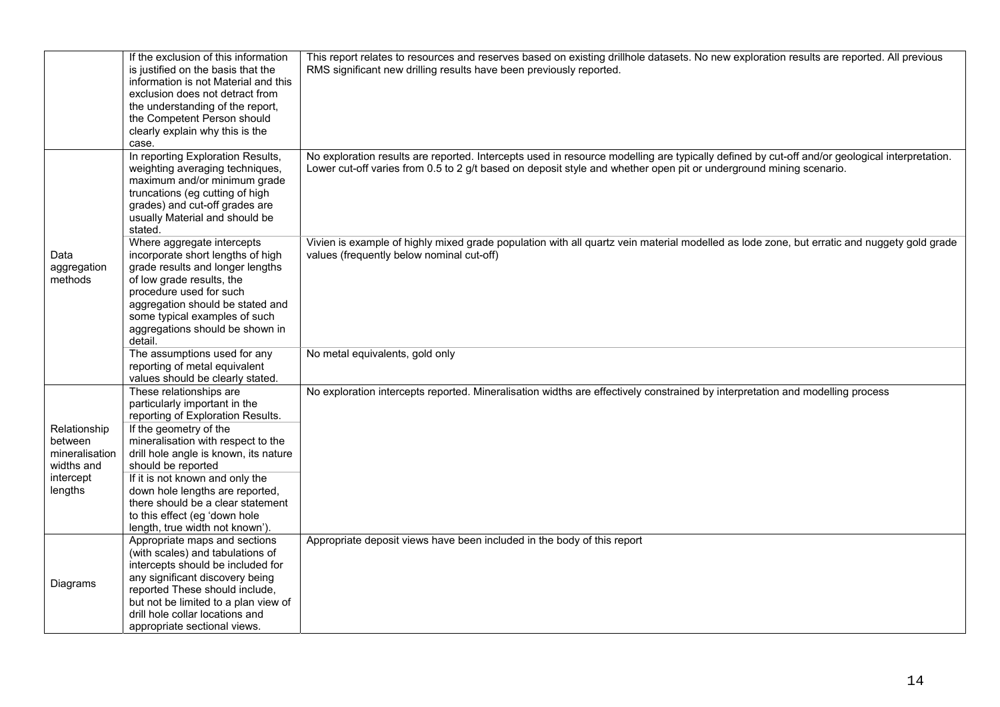|                                                                                 | If the exclusion of this information<br>is justified on the basis that the<br>information is not Material and this<br>exclusion does not detract from<br>the understanding of the report,<br>the Competent Person should<br>clearly explain why this is the<br>case.                                                                                                                                        | This report relates to resources and reserves based on existing drillhole datasets. No new exploration results are reported. All previous<br>RMS significant new drilling results have been previously reported.                                                    |
|---------------------------------------------------------------------------------|-------------------------------------------------------------------------------------------------------------------------------------------------------------------------------------------------------------------------------------------------------------------------------------------------------------------------------------------------------------------------------------------------------------|---------------------------------------------------------------------------------------------------------------------------------------------------------------------------------------------------------------------------------------------------------------------|
|                                                                                 | In reporting Exploration Results,<br>weighting averaging techniques,<br>maximum and/or minimum grade<br>truncations (eg cutting of high<br>grades) and cut-off grades are<br>usually Material and should be<br>stated.                                                                                                                                                                                      | No exploration results are reported. Intercepts used in resource modelling are typically defined by cut-off and/or geological interpretation.<br>Lower cut-off varies from 0.5 to 2 g/t based on deposit style and whether open pit or underground mining scenario. |
| Data<br>aggregation<br>methods                                                  | Where aggregate intercepts<br>incorporate short lengths of high<br>grade results and longer lengths<br>of low grade results, the<br>procedure used for such<br>aggregation should be stated and<br>some typical examples of such<br>aggregations should be shown in<br>detail.                                                                                                                              | Vivien is example of highly mixed grade population with all quartz vein material modelled as lode zone, but erratic and nuggety gold grade<br>values (frequently below nominal cut-off)                                                                             |
|                                                                                 | The assumptions used for any<br>reporting of metal equivalent<br>values should be clearly stated.                                                                                                                                                                                                                                                                                                           | No metal equivalents, gold only                                                                                                                                                                                                                                     |
| Relationship<br>between<br>mineralisation<br>widths and<br>intercept<br>lengths | These relationships are<br>particularly important in the<br>reporting of Exploration Results.<br>If the geometry of the<br>mineralisation with respect to the<br>drill hole angle is known, its nature<br>should be reported<br>If it is not known and only the<br>down hole lengths are reported,<br>there should be a clear statement<br>to this effect (eg 'down hole<br>length, true width not known'). | No exploration intercepts reported. Mineralisation widths are effectively constrained by interpretation and modelling process                                                                                                                                       |
| Diagrams                                                                        | Appropriate maps and sections<br>(with scales) and tabulations of<br>intercepts should be included for<br>any significant discovery being<br>reported These should include,<br>but not be limited to a plan view of<br>drill hole collar locations and<br>appropriate sectional views.                                                                                                                      | Appropriate deposit views have been included in the body of this report                                                                                                                                                                                             |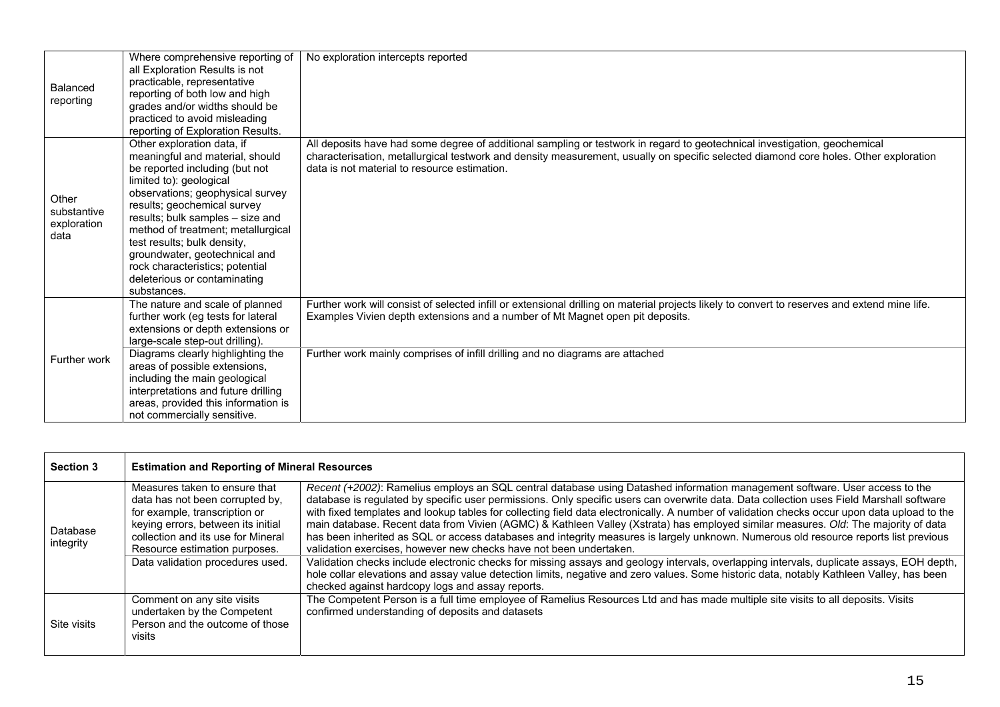| Balanced<br>reporting                       | Where comprehensive reporting of<br>all Exploration Results is not<br>practicable, representative<br>reporting of both low and high<br>grades and/or widths should be<br>practiced to avoid misleading<br>reporting of Exploration Results.                                                                                                                                                                               | No exploration intercepts reported                                                                                                                                                                                                                                                                                |
|---------------------------------------------|---------------------------------------------------------------------------------------------------------------------------------------------------------------------------------------------------------------------------------------------------------------------------------------------------------------------------------------------------------------------------------------------------------------------------|-------------------------------------------------------------------------------------------------------------------------------------------------------------------------------------------------------------------------------------------------------------------------------------------------------------------|
| Other<br>substantive<br>exploration<br>data | Other exploration data, if<br>meaningful and material, should<br>be reported including (but not<br>limited to): geological<br>observations; geophysical survey<br>results; geochemical survey<br>results; bulk samples - size and<br>method of treatment; metallurgical<br>test results; bulk density,<br>groundwater, geotechnical and<br>rock characteristics; potential<br>deleterious or contaminating<br>substances. | All deposits have had some degree of additional sampling or testwork in regard to geotechnical investigation, geochemical<br>characterisation, metallurgical testwork and density measurement, usually on specific selected diamond core holes. Other exploration<br>data is not material to resource estimation. |
| Further work                                | The nature and scale of planned<br>further work (eg tests for lateral<br>extensions or depth extensions or<br>large-scale step-out drilling).<br>Diagrams clearly highlighting the<br>areas of possible extensions,<br>including the main geological<br>interpretations and future drilling<br>areas, provided this information is<br>not commercially sensitive.                                                         | Further work will consist of selected infill or extensional drilling on material projects likely to convert to reserves and extend mine life.<br>Examples Vivien depth extensions and a number of Mt Magnet open pit deposits.<br>Further work mainly comprises of infill drilling and no diagrams are attached   |

| <b>Section 3</b>      | <b>Estimation and Reporting of Mineral Resources</b>                                                                                                                                                                                               |                                                                                                                                                                                                                                                                                                                                                                                                                                                                                                                                                                                                                                                                                                                                                                                                                                                                                                                                                                                                                                                                                                                          |
|-----------------------|----------------------------------------------------------------------------------------------------------------------------------------------------------------------------------------------------------------------------------------------------|--------------------------------------------------------------------------------------------------------------------------------------------------------------------------------------------------------------------------------------------------------------------------------------------------------------------------------------------------------------------------------------------------------------------------------------------------------------------------------------------------------------------------------------------------------------------------------------------------------------------------------------------------------------------------------------------------------------------------------------------------------------------------------------------------------------------------------------------------------------------------------------------------------------------------------------------------------------------------------------------------------------------------------------------------------------------------------------------------------------------------|
| Database<br>integrity | Measures taken to ensure that<br>data has not been corrupted by,<br>for example, transcription or<br>keying errors, between its initial<br>collection and its use for Mineral<br>Resource estimation purposes.<br>Data validation procedures used. | Recent (+2002): Ramelius employs an SQL central database using Datashed information management software. User access to the<br>database is regulated by specific user permissions. Only specific users can overwrite data. Data collection uses Field Marshall software<br>with fixed templates and lookup tables for collecting field data electronically. A number of validation checks occur upon data upload to the<br>main database. Recent data from Vivien (AGMC) & Kathleen Valley (Xstrata) has employed similar measures. Old: The majority of data<br>has been inherited as SQL or access databases and integrity measures is largely unknown. Numerous old resource reports list previous<br>validation exercises, however new checks have not been undertaken.<br>Validation checks include electronic checks for missing assays and geology intervals, overlapping intervals, duplicate assays, EOH depth,<br>hole collar elevations and assay value detection limits, negative and zero values. Some historic data, notably Kathleen Valley, has been<br>checked against hardcopy logs and assay reports. |
| Site visits           | Comment on any site visits<br>undertaken by the Competent<br>Person and the outcome of those<br>visits                                                                                                                                             | The Competent Person is a full time employee of Ramelius Resources Ltd and has made multiple site visits to all deposits. Visits<br>confirmed understanding of deposits and datasets                                                                                                                                                                                                                                                                                                                                                                                                                                                                                                                                                                                                                                                                                                                                                                                                                                                                                                                                     |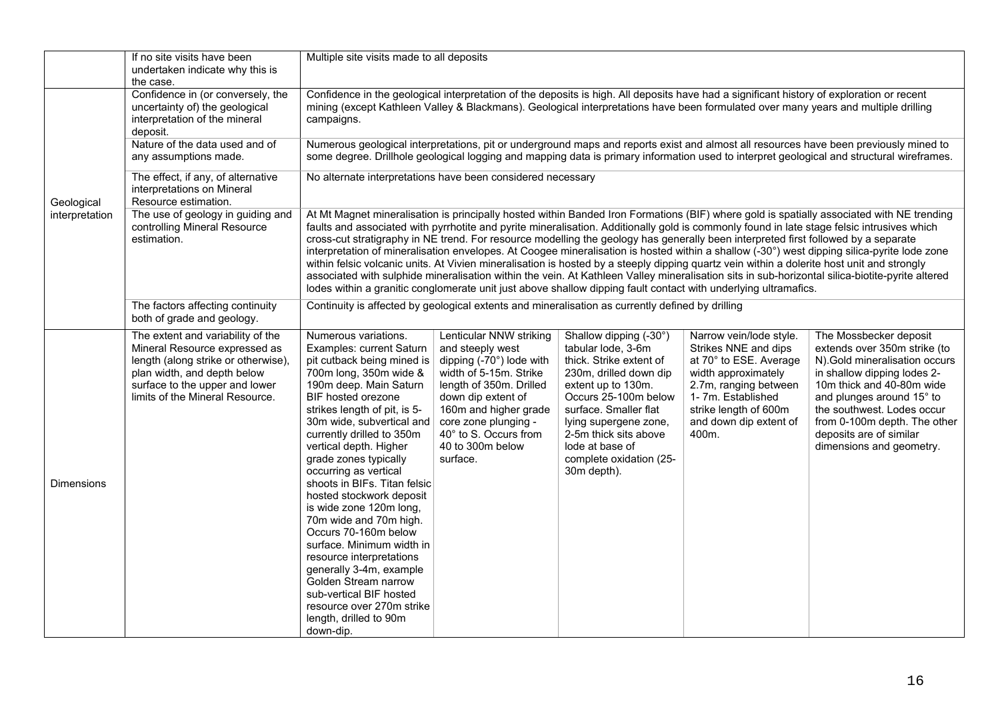|                   | If no site visits have been<br>undertaken indicate why this is<br>the case.                                                                                                                                   | Multiple site visits made to all deposits                                                                                                                                                                                                                                                                                                                                                                                                                                                                                                                                                                                                                                                                                                                                                                                                                                                                                                                                                        |                                                                                                                                                                                                                                                                                    |                                                                                                                                                                                                                                                                                         |                                                                                                                                                                                                             |                                                                                                                                                                                                                                                                                                        |  |
|-------------------|---------------------------------------------------------------------------------------------------------------------------------------------------------------------------------------------------------------|--------------------------------------------------------------------------------------------------------------------------------------------------------------------------------------------------------------------------------------------------------------------------------------------------------------------------------------------------------------------------------------------------------------------------------------------------------------------------------------------------------------------------------------------------------------------------------------------------------------------------------------------------------------------------------------------------------------------------------------------------------------------------------------------------------------------------------------------------------------------------------------------------------------------------------------------------------------------------------------------------|------------------------------------------------------------------------------------------------------------------------------------------------------------------------------------------------------------------------------------------------------------------------------------|-----------------------------------------------------------------------------------------------------------------------------------------------------------------------------------------------------------------------------------------------------------------------------------------|-------------------------------------------------------------------------------------------------------------------------------------------------------------------------------------------------------------|--------------------------------------------------------------------------------------------------------------------------------------------------------------------------------------------------------------------------------------------------------------------------------------------------------|--|
|                   | Confidence in (or conversely, the<br>uncertainty of) the geological<br>interpretation of the mineral<br>deposit.                                                                                              | Confidence in the geological interpretation of the deposits is high. All deposits have had a significant history of exploration or recent<br>mining (except Kathleen Valley & Blackmans). Geological interpretations have been formulated over many years and multiple drilling<br>campaigns.                                                                                                                                                                                                                                                                                                                                                                                                                                                                                                                                                                                                                                                                                                    |                                                                                                                                                                                                                                                                                    |                                                                                                                                                                                                                                                                                         |                                                                                                                                                                                                             |                                                                                                                                                                                                                                                                                                        |  |
|                   | Nature of the data used and of<br>any assumptions made.                                                                                                                                                       |                                                                                                                                                                                                                                                                                                                                                                                                                                                                                                                                                                                                                                                                                                                                                                                                                                                                                                                                                                                                  | Numerous geological interpretations, pit or underground maps and reports exist and almost all resources have been previously mined to<br>some degree. Drillhole geological logging and mapping data is primary information used to interpret geological and structural wireframes. |                                                                                                                                                                                                                                                                                         |                                                                                                                                                                                                             |                                                                                                                                                                                                                                                                                                        |  |
| Geological        | The effect, if any, of alternative<br>interpretations on Mineral<br>Resource estimation.                                                                                                                      |                                                                                                                                                                                                                                                                                                                                                                                                                                                                                                                                                                                                                                                                                                                                                                                                                                                                                                                                                                                                  | No alternate interpretations have been considered necessary                                                                                                                                                                                                                        |                                                                                                                                                                                                                                                                                         |                                                                                                                                                                                                             |                                                                                                                                                                                                                                                                                                        |  |
| interpretation    | The use of geology in guiding and<br>controlling Mineral Resource<br>estimation.                                                                                                                              | At Mt Magnet mineralisation is principally hosted within Banded Iron Formations (BIF) where gold is spatially associated with NE trending<br>faults and associated with pyrrhotite and pyrite mineralisation. Additionally gold is commonly found in late stage felsic intrusives which<br>cross-cut stratigraphy in NE trend. For resource modelling the geology has generally been interpreted first followed by a separate<br>interpretation of mineralisation envelopes. At Coogee mineralisation is hosted within a shallow (-30°) west dipping silica-pyrite lode zone<br>within felsic volcanic units. At Vivien mineralisation is hosted by a steeply dipping quartz vein within a dolerite host unit and strongly<br>associated with sulphide mineralisation within the vein. At Kathleen Valley mineralisation sits in sub-horizontal silica-biotite-pyrite altered<br>lodes within a granitic conglomerate unit just above shallow dipping fault contact with underlying ultramafics. |                                                                                                                                                                                                                                                                                    |                                                                                                                                                                                                                                                                                         |                                                                                                                                                                                                             |                                                                                                                                                                                                                                                                                                        |  |
|                   | The factors affecting continuity<br>both of grade and geology.                                                                                                                                                |                                                                                                                                                                                                                                                                                                                                                                                                                                                                                                                                                                                                                                                                                                                                                                                                                                                                                                                                                                                                  | Continuity is affected by geological extents and mineralisation as currently defined by drilling                                                                                                                                                                                   |                                                                                                                                                                                                                                                                                         |                                                                                                                                                                                                             |                                                                                                                                                                                                                                                                                                        |  |
| <b>Dimensions</b> | The extent and variability of the<br>Mineral Resource expressed as<br>length (along strike or otherwise),<br>plan width, and depth below<br>surface to the upper and lower<br>limits of the Mineral Resource. | Numerous variations.<br>Examples: current Saturn<br>pit cutback being mined is<br>700m long, 350m wide &<br>190m deep. Main Saturn<br>BIF hosted orezone<br>strikes length of pit, is 5-<br>30m wide, subvertical and<br>currently drilled to 350m<br>vertical depth. Higher<br>grade zones typically<br>occurring as vertical<br>shoots in BIFs. Titan felsic<br>hosted stockwork deposit<br>is wide zone 120m long,<br>70m wide and 70m high.<br>Occurs 70-160m below<br>surface. Minimum width in<br>resource interpretations<br>generally 3-4m, example<br>Golden Stream narrow<br>sub-vertical BIF hosted<br>resource over 270m strike<br>length, drilled to 90m<br>down-dip.                                                                                                                                                                                                                                                                                                               | Lenticular NNW striking<br>and steeply west<br>dipping $(-70^\circ)$ lode with<br>width of 5-15m. Strike<br>length of 350m. Drilled<br>down dip extent of<br>160m and higher grade<br>core zone plunging -<br>40° to S. Occurs from<br>40 to 300m below<br>surface.                | Shallow dipping (-30°)<br>tabular lode, 3-6m<br>thick. Strike extent of<br>230m, drilled down dip<br>extent up to 130m.<br>Occurs 25-100m below<br>surface. Smaller flat<br>lying supergene zone,<br>2-5m thick sits above<br>lode at base of<br>complete oxidation (25-<br>30m depth). | Narrow vein/lode style.<br>Strikes NNE and dips<br>at 70° to ESE. Average<br>width approximately<br>2.7m, ranging between<br>1- 7m. Established<br>strike length of 600m<br>and down dip extent of<br>400m. | The Mossbecker deposit<br>extends over 350m strike (to<br>N). Gold mineralisation occurs<br>in shallow dipping lodes 2-<br>10m thick and 40-80m wide<br>and plunges around 15° to<br>the southwest. Lodes occur<br>from 0-100m depth. The other<br>deposits are of similar<br>dimensions and geometry. |  |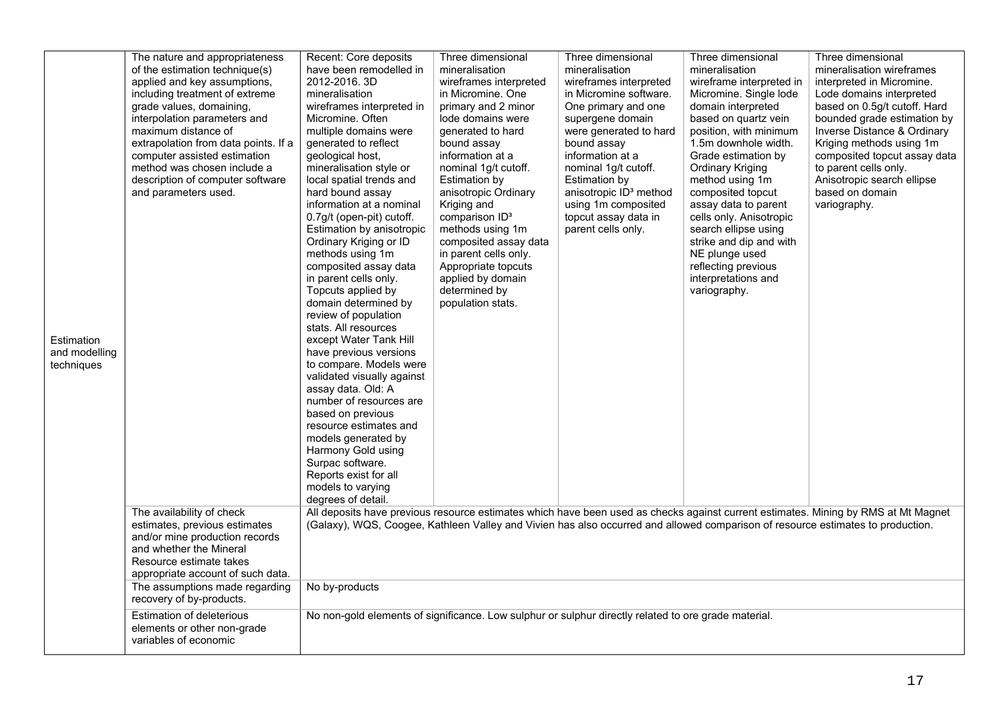|               | The nature and appropriateness       | Recent: Core deposits                                                                                                           | Three dimensional          | Three dimensional                  | Three dimensional        | Three dimensional                                                                                                                  |
|---------------|--------------------------------------|---------------------------------------------------------------------------------------------------------------------------------|----------------------------|------------------------------------|--------------------------|------------------------------------------------------------------------------------------------------------------------------------|
|               | of the estimation technique(s)       | have been remodelled in                                                                                                         | mineralisation             | mineralisation                     | mineralisation           | mineralisation wireframes                                                                                                          |
|               | applied and key assumptions,         | 2012-2016. 3D                                                                                                                   | wireframes interpreted     | wireframes interpreted             | wireframe interpreted in | interpreted in Micromine.                                                                                                          |
|               | including treatment of extreme       | mineralisation                                                                                                                  | in Micromine. One          | in Micromine software.             | Micromine. Single lode   | Lode domains interpreted                                                                                                           |
|               | grade values, domaining,             | wireframes interpreted in                                                                                                       | primary and 2 minor        | One primary and one                | domain interpreted       | based on 0.5g/t cutoff. Hard                                                                                                       |
|               | interpolation parameters and         | Micromine. Often                                                                                                                | lode domains were          | supergene domain                   | based on quartz vein     | bounded grade estimation by                                                                                                        |
|               | maximum distance of                  | multiple domains were                                                                                                           | generated to hard          | were generated to hard             | position, with minimum   | Inverse Distance & Ordinary                                                                                                        |
|               | extrapolation from data points. If a | generated to reflect                                                                                                            | bound assay                | bound assay                        | 1.5m downhole width.     | Kriging methods using 1m                                                                                                           |
|               | computer assisted estimation         | geological host,                                                                                                                | information at a           | information at a                   | Grade estimation by      | composited topcut assay data                                                                                                       |
|               | method was chosen include a          | mineralisation style or                                                                                                         | nominal 1g/t cutoff.       | nominal 1g/t cutoff.               | <b>Ordinary Kriging</b>  | to parent cells only.                                                                                                              |
|               | description of computer software     | local spatial trends and                                                                                                        | <b>Estimation by</b>       | Estimation by                      | method using 1m          | Anisotropic search ellipse                                                                                                         |
|               | and parameters used.                 | hard bound assay                                                                                                                | anisotropic Ordinary       | anisotropic ID <sup>3</sup> method | composited topcut        | based on domain                                                                                                                    |
|               |                                      | information at a nominal                                                                                                        | Kriging and                | using 1m composited                | assay data to parent     | variography.                                                                                                                       |
|               |                                      | 0.7g/t (open-pit) cutoff.                                                                                                       | comparison ID <sup>3</sup> | topcut assay data in               | cells only. Anisotropic  |                                                                                                                                    |
|               |                                      | Estimation by anisotropic                                                                                                       | methods using 1m           | parent cells only.                 | search ellipse using     |                                                                                                                                    |
|               |                                      | Ordinary Kriging or ID                                                                                                          | composited assay data      |                                    | strike and dip and with  |                                                                                                                                    |
|               |                                      | methods using 1m                                                                                                                | in parent cells only.      |                                    | NE plunge used           |                                                                                                                                    |
|               |                                      | composited assay data                                                                                                           | Appropriate topcuts        |                                    | reflecting previous      |                                                                                                                                    |
|               |                                      | in parent cells only.                                                                                                           | applied by domain          |                                    | interpretations and      |                                                                                                                                    |
|               |                                      | Topcuts applied by                                                                                                              | determined by              |                                    | variography.             |                                                                                                                                    |
|               |                                      | domain determined by<br>review of population                                                                                    | population stats.          |                                    |                          |                                                                                                                                    |
|               |                                      | stats. All resources                                                                                                            |                            |                                    |                          |                                                                                                                                    |
| Estimation    |                                      | except Water Tank Hill                                                                                                          |                            |                                    |                          |                                                                                                                                    |
| and modelling |                                      | have previous versions                                                                                                          |                            |                                    |                          |                                                                                                                                    |
| techniques    |                                      | to compare. Models were                                                                                                         |                            |                                    |                          |                                                                                                                                    |
|               |                                      | validated visually against                                                                                                      |                            |                                    |                          |                                                                                                                                    |
|               |                                      | assay data. Old: A                                                                                                              |                            |                                    |                          |                                                                                                                                    |
|               |                                      | number of resources are                                                                                                         |                            |                                    |                          |                                                                                                                                    |
|               |                                      | based on previous                                                                                                               |                            |                                    |                          |                                                                                                                                    |
|               |                                      | resource estimates and                                                                                                          |                            |                                    |                          |                                                                                                                                    |
|               |                                      | models generated by                                                                                                             |                            |                                    |                          |                                                                                                                                    |
|               |                                      | Harmony Gold using                                                                                                              |                            |                                    |                          |                                                                                                                                    |
|               |                                      | Surpac software.                                                                                                                |                            |                                    |                          |                                                                                                                                    |
|               |                                      | Reports exist for all                                                                                                           |                            |                                    |                          |                                                                                                                                    |
|               |                                      | models to varying                                                                                                               |                            |                                    |                          |                                                                                                                                    |
|               |                                      | degrees of detail.                                                                                                              |                            |                                    |                          |                                                                                                                                    |
|               | The availability of check            |                                                                                                                                 |                            |                                    |                          | All deposits have previous resource estimates which have been used as checks against current estimates. Mining by RMS at Mt Magnet |
|               | estimates, previous estimates        | (Galaxy), WQS, Coogee, Kathleen Valley and Vivien has also occurred and allowed comparison of resource estimates to production. |                            |                                    |                          |                                                                                                                                    |
|               | and/or mine production records       |                                                                                                                                 |                            |                                    |                          |                                                                                                                                    |
|               | and whether the Mineral              |                                                                                                                                 |                            |                                    |                          |                                                                                                                                    |
|               | Resource estimate takes              |                                                                                                                                 |                            |                                    |                          |                                                                                                                                    |
|               | appropriate account of such data.    |                                                                                                                                 |                            |                                    |                          |                                                                                                                                    |
|               | The assumptions made regarding       | No by-products                                                                                                                  |                            |                                    |                          |                                                                                                                                    |
|               | recovery of by-products.             |                                                                                                                                 |                            |                                    |                          |                                                                                                                                    |
|               | <b>Estimation of deleterious</b>     | No non-gold elements of significance. Low sulphur or sulphur directly related to ore grade material.                            |                            |                                    |                          |                                                                                                                                    |
|               | elements or other non-grade          |                                                                                                                                 |                            |                                    |                          |                                                                                                                                    |
|               | variables of economic                |                                                                                                                                 |                            |                                    |                          |                                                                                                                                    |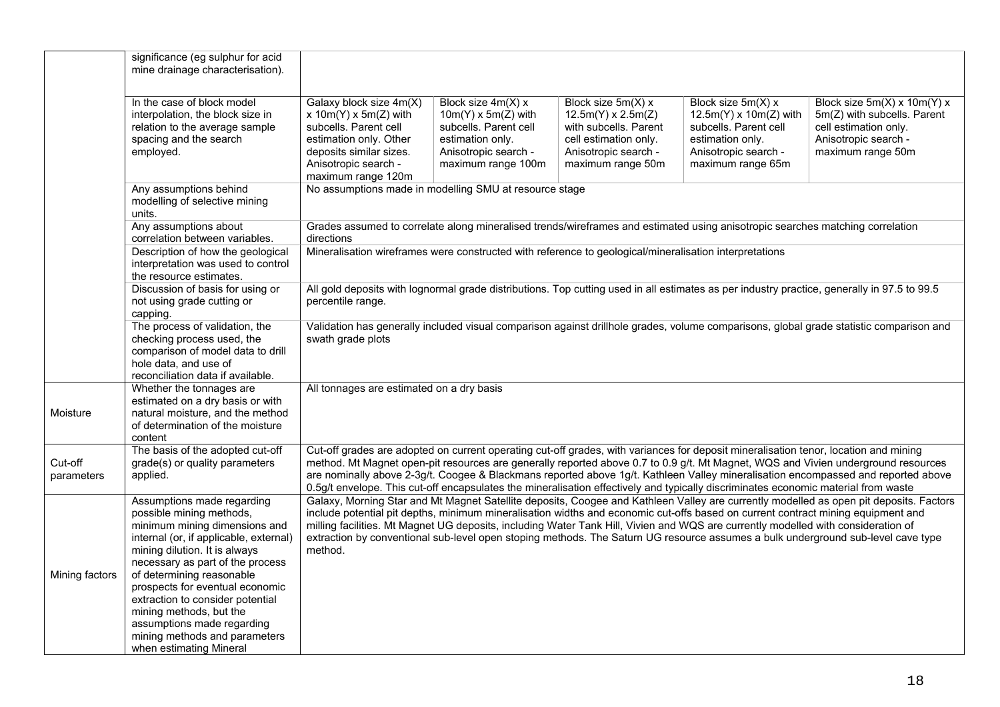|                                                                                                                                                                                                                                                                                                                                                                                                                                                                | significance (eg sulphur for acid<br>mine drainage characterisation).                                                                                                                                                                                                                                                                                                                                                           |                                                                                                                                                                                  |                                                                                                                                             |                                                                                                                                                |                                                                                                                                                                                                                                                                            |                                                                                                                                                                                                                                                                            |
|----------------------------------------------------------------------------------------------------------------------------------------------------------------------------------------------------------------------------------------------------------------------------------------------------------------------------------------------------------------------------------------------------------------------------------------------------------------|---------------------------------------------------------------------------------------------------------------------------------------------------------------------------------------------------------------------------------------------------------------------------------------------------------------------------------------------------------------------------------------------------------------------------------|----------------------------------------------------------------------------------------------------------------------------------------------------------------------------------|---------------------------------------------------------------------------------------------------------------------------------------------|------------------------------------------------------------------------------------------------------------------------------------------------|----------------------------------------------------------------------------------------------------------------------------------------------------------------------------------------------------------------------------------------------------------------------------|----------------------------------------------------------------------------------------------------------------------------------------------------------------------------------------------------------------------------------------------------------------------------|
|                                                                                                                                                                                                                                                                                                                                                                                                                                                                | In the case of block model<br>interpolation, the block size in<br>relation to the average sample<br>spacing and the search<br>employed.                                                                                                                                                                                                                                                                                         | Galaxy block size 4m(X)<br>x $10m(Y)$ x $5m(Z)$ with<br>subcells. Parent cell<br>estimation only. Other<br>deposits similar sizes.<br>Anisotropic search -<br>maximum range 120m | Block size 4m(X) x<br>$10m(Y) \times 5m(Z)$ with<br>subcells. Parent cell<br>estimation only.<br>Anisotropic search -<br>maximum range 100m | Block size 5m(X) x<br>$12.5m(Y) \times 2.5m(Z)$<br>with subcells. Parent<br>cell estimation only.<br>Anisotropic search -<br>maximum range 50m | Block size 5m(X) x<br>$12.5m(Y) \times 10m(Z)$ with<br>subcells. Parent cell<br>estimation only.<br>Anisotropic search -<br>maximum range 65m                                                                                                                              | Block size 5m(X) x 10m(Y) x<br>5m(Z) with subcells. Parent<br>cell estimation only.<br>Anisotropic search -<br>maximum range 50m                                                                                                                                           |
|                                                                                                                                                                                                                                                                                                                                                                                                                                                                | Any assumptions behind<br>modelling of selective mining<br>units.                                                                                                                                                                                                                                                                                                                                                               | No assumptions made in modelling SMU at resource stage                                                                                                                           |                                                                                                                                             |                                                                                                                                                |                                                                                                                                                                                                                                                                            |                                                                                                                                                                                                                                                                            |
|                                                                                                                                                                                                                                                                                                                                                                                                                                                                | Any assumptions about<br>correlation between variables.                                                                                                                                                                                                                                                                                                                                                                         | directions                                                                                                                                                                       |                                                                                                                                             |                                                                                                                                                | Grades assumed to correlate along mineralised trends/wireframes and estimated using anisotropic searches matching correlation                                                                                                                                              |                                                                                                                                                                                                                                                                            |
| Mineralisation wireframes were constructed with reference to geological/mineralisation interpretations<br>Description of how the geological<br>interpretation was used to control<br>the resource estimates.<br>All gold deposits with lognormal grade distributions. Top cutting used in all estimates as per industry practice, generally in 97.5 to 99.5<br>Discussion of basis for using or<br>percentile range.<br>not using grade cutting or<br>capping. |                                                                                                                                                                                                                                                                                                                                                                                                                                 |                                                                                                                                                                                  |                                                                                                                                             |                                                                                                                                                |                                                                                                                                                                                                                                                                            |                                                                                                                                                                                                                                                                            |
|                                                                                                                                                                                                                                                                                                                                                                                                                                                                |                                                                                                                                                                                                                                                                                                                                                                                                                                 |                                                                                                                                                                                  |                                                                                                                                             |                                                                                                                                                |                                                                                                                                                                                                                                                                            |                                                                                                                                                                                                                                                                            |
|                                                                                                                                                                                                                                                                                                                                                                                                                                                                | The process of validation, the<br>checking process used, the<br>comparison of model data to drill<br>hole data, and use of<br>reconciliation data if available.                                                                                                                                                                                                                                                                 | swath grade plots                                                                                                                                                                |                                                                                                                                             |                                                                                                                                                |                                                                                                                                                                                                                                                                            | Validation has generally included visual comparison against drillhole grades, volume comparisons, global grade statistic comparison and                                                                                                                                    |
| Moisture                                                                                                                                                                                                                                                                                                                                                                                                                                                       | Whether the tonnages are<br>estimated on a dry basis or with<br>natural moisture, and the method<br>of determination of the moisture<br>content                                                                                                                                                                                                                                                                                 | All tonnages are estimated on a dry basis                                                                                                                                        |                                                                                                                                             |                                                                                                                                                |                                                                                                                                                                                                                                                                            |                                                                                                                                                                                                                                                                            |
| Cut-off<br>parameters                                                                                                                                                                                                                                                                                                                                                                                                                                          | The basis of the adopted cut-off<br>grade(s) or quality parameters<br>applied.                                                                                                                                                                                                                                                                                                                                                  |                                                                                                                                                                                  |                                                                                                                                             |                                                                                                                                                | Cut-off grades are adopted on current operating cut-off grades, with variances for deposit mineralisation tenor, location and mining<br>0.5g/t envelope. This cut-off encapsulates the mineralisation effectively and typically discriminates economic material from waste | method. Mt Magnet open-pit resources are generally reported above 0.7 to 0.9 g/t. Mt Magnet, WQS and Vivien underground resources<br>are nominally above 2-3g/t. Coogee & Blackmans reported above 1g/t. Kathleen Valley mineralisation encompassed and reported above     |
| Mining factors                                                                                                                                                                                                                                                                                                                                                                                                                                                 | Assumptions made regarding<br>possible mining methods,<br>minimum mining dimensions and<br>internal (or, if applicable, external)<br>mining dilution. It is always<br>necessary as part of the process<br>of determining reasonable<br>prospects for eventual economic<br>extraction to consider potential<br>mining methods, but the<br>assumptions made regarding<br>mining methods and parameters<br>when estimating Mineral | method.                                                                                                                                                                          |                                                                                                                                             |                                                                                                                                                | include potential pit depths, minimum mineralisation widths and economic cut-offs based on current contract mining equipment and<br>milling facilities. Mt Magnet UG deposits, including Water Tank Hill, Vivien and WQS are currently modelled with consideration of      | Galaxy, Morning Star and Mt Magnet Satellite deposits, Coogee and Kathleen Valley are currently modelled as open pit deposits. Factors<br>extraction by conventional sub-level open stoping methods. The Saturn UG resource assumes a bulk underground sub-level cave type |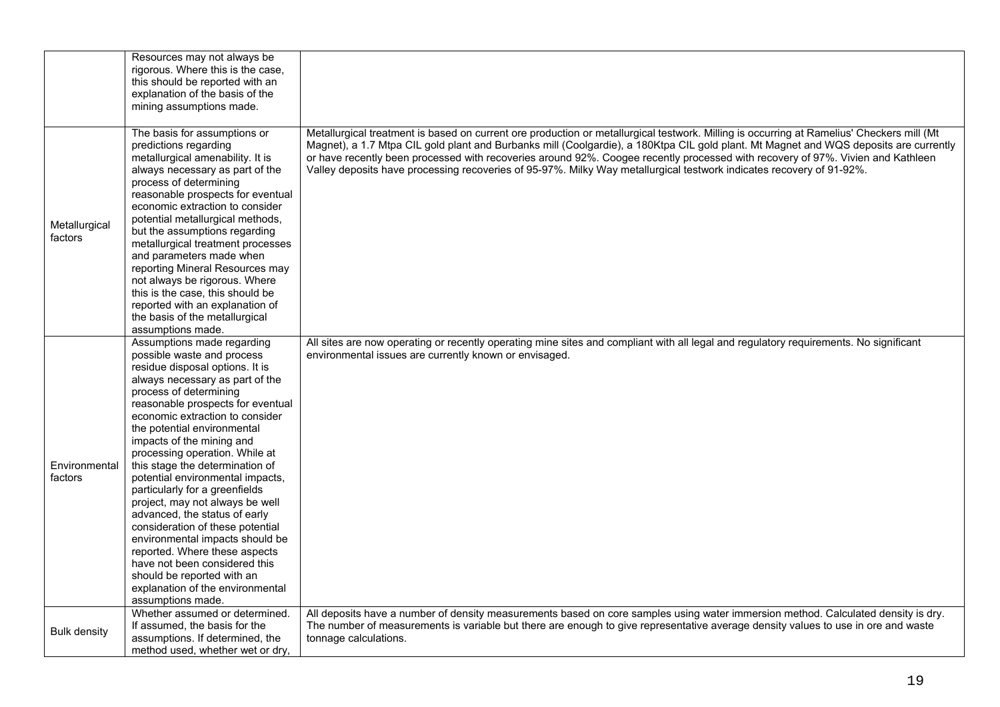|                          | Resources may not always be<br>rigorous. Where this is the case,<br>this should be reported with an<br>explanation of the basis of the<br>mining assumptions made.                                                                                                                                                                                                                                                                                                                                                                                                                                                                                                                                                                          |                                                                                                                                                                                                                                                                                                                                                                                                                                                                                                                                               |
|--------------------------|---------------------------------------------------------------------------------------------------------------------------------------------------------------------------------------------------------------------------------------------------------------------------------------------------------------------------------------------------------------------------------------------------------------------------------------------------------------------------------------------------------------------------------------------------------------------------------------------------------------------------------------------------------------------------------------------------------------------------------------------|-----------------------------------------------------------------------------------------------------------------------------------------------------------------------------------------------------------------------------------------------------------------------------------------------------------------------------------------------------------------------------------------------------------------------------------------------------------------------------------------------------------------------------------------------|
| Metallurgical<br>factors | The basis for assumptions or<br>predictions regarding<br>metallurgical amenability. It is<br>always necessary as part of the<br>process of determining<br>reasonable prospects for eventual<br>economic extraction to consider<br>potential metallurgical methods,<br>but the assumptions regarding<br>metallurgical treatment processes<br>and parameters made when<br>reporting Mineral Resources may<br>not always be rigorous. Where<br>this is the case, this should be<br>reported with an explanation of<br>the basis of the metallurgical<br>assumptions made.                                                                                                                                                                      | Metallurgical treatment is based on current ore production or metallurgical testwork. Milling is occurring at Ramelius' Checkers mill (Mt<br>Magnet), a 1.7 Mtpa CIL gold plant and Burbanks mill (Coolgardie), a 180Ktpa CIL gold plant. Mt Magnet and WQS deposits are currently<br>or have recently been processed with recoveries around 92%. Coogee recently processed with recovery of 97%. Vivien and Kathleen<br>Valley deposits have processing recoveries of 95-97%. Milky Way metallurgical testwork indicates recovery of 91-92%. |
| Environmental<br>factors | Assumptions made regarding<br>possible waste and process<br>residue disposal options. It is<br>always necessary as part of the<br>process of determining<br>reasonable prospects for eventual<br>economic extraction to consider<br>the potential environmental<br>impacts of the mining and<br>processing operation. While at<br>this stage the determination of<br>potential environmental impacts,<br>particularly for a greenfields<br>project, may not always be well<br>advanced, the status of early<br>consideration of these potential<br>environmental impacts should be<br>reported. Where these aspects<br>have not been considered this<br>should be reported with an<br>explanation of the environmental<br>assumptions made. | All sites are now operating or recently operating mine sites and compliant with all legal and regulatory requirements. No significant<br>environmental issues are currently known or envisaged.                                                                                                                                                                                                                                                                                                                                               |
| <b>Bulk density</b>      | Whether assumed or determined.<br>If assumed, the basis for the<br>assumptions. If determined, the<br>method used, whether wet or dry,                                                                                                                                                                                                                                                                                                                                                                                                                                                                                                                                                                                                      | All deposits have a number of density measurements based on core samples using water immersion method. Calculated density is dry.<br>The number of measurements is variable but there are enough to give representative average density values to use in ore and waste<br>tonnage calculations.                                                                                                                                                                                                                                               |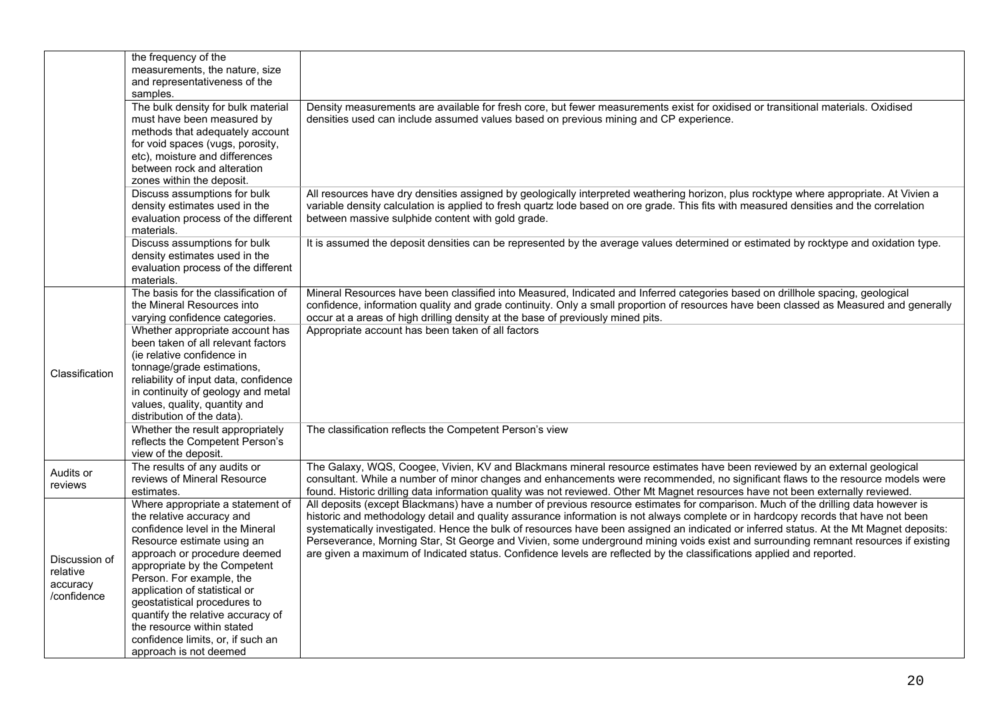|                | the frequency of the                  |                                                                                                                                         |
|----------------|---------------------------------------|-----------------------------------------------------------------------------------------------------------------------------------------|
|                | measurements, the nature, size        |                                                                                                                                         |
|                | and representativeness of the         |                                                                                                                                         |
|                | samples.                              |                                                                                                                                         |
|                | The bulk density for bulk material    | Density measurements are available for fresh core, but fewer measurements exist for oxidised or transitional materials. Oxidised        |
|                | must have been measured by            | densities used can include assumed values based on previous mining and CP experience.                                                   |
|                |                                       |                                                                                                                                         |
|                | methods that adequately account       |                                                                                                                                         |
|                | for void spaces (vugs, porosity,      |                                                                                                                                         |
|                | etc), moisture and differences        |                                                                                                                                         |
|                | between rock and alteration           |                                                                                                                                         |
|                | zones within the deposit.             |                                                                                                                                         |
|                | Discuss assumptions for bulk          | All resources have dry densities assigned by geologically interpreted weathering horizon, plus rocktype where appropriate. At Vivien a  |
|                | density estimates used in the         | variable density calculation is applied to fresh quartz lode based on ore grade. This fits with measured densities and the correlation  |
|                | evaluation process of the different   | between massive sulphide content with gold grade.                                                                                       |
|                | materials.                            |                                                                                                                                         |
|                | Discuss assumptions for bulk          | It is assumed the deposit densities can be represented by the average values determined or estimated by rocktype and oxidation type.    |
|                | density estimates used in the         |                                                                                                                                         |
|                | evaluation process of the different   |                                                                                                                                         |
|                | materials.                            |                                                                                                                                         |
|                | The basis for the classification of   | Mineral Resources have been classified into Measured, Indicated and Inferred categories based on drillhole spacing, geological          |
|                | the Mineral Resources into            | confidence, information quality and grade continuity. Only a small proportion of resources have been classed as Measured and generally  |
|                | varying confidence categories.        | occur at a areas of high drilling density at the base of previously mined pits.                                                         |
|                | Whether appropriate account has       | Appropriate account has been taken of all factors                                                                                       |
|                | been taken of all relevant factors    |                                                                                                                                         |
|                | (ie relative confidence in            |                                                                                                                                         |
|                | tonnage/grade estimations,            |                                                                                                                                         |
| Classification | reliability of input data, confidence |                                                                                                                                         |
|                | in continuity of geology and metal    |                                                                                                                                         |
|                | values, quality, quantity and         |                                                                                                                                         |
|                | distribution of the data).            |                                                                                                                                         |
|                |                                       |                                                                                                                                         |
|                | Whether the result appropriately      | The classification reflects the Competent Person's view                                                                                 |
|                | reflects the Competent Person's       |                                                                                                                                         |
|                | view of the deposit.                  |                                                                                                                                         |
| Audits or      | The results of any audits or          | The Galaxy, WQS, Coogee, Vivien, KV and Blackmans mineral resource estimates have been reviewed by an external geological               |
| reviews        | reviews of Mineral Resource           | consultant. While a number of minor changes and enhancements were recommended, no significant flaws to the resource models were         |
|                | estimates.                            | found. Historic drilling data information quality was not reviewed. Other Mt Magnet resources have not been externally reviewed.        |
|                | Where appropriate a statement of      | All deposits (except Blackmans) have a number of previous resource estimates for comparison. Much of the drilling data however is       |
|                | the relative accuracy and             | historic and methodology detail and quality assurance information is not always complete or in hardcopy records that have not been      |
|                | confidence level in the Mineral       | systematically investigated. Hence the bulk of resources have been assigned an indicated or inferred status. At the Mt Magnet deposits: |
|                | Resource estimate using an            | Perseverance, Morning Star, St George and Vivien, some underground mining voids exist and surrounding remnant resources if existing     |
|                | approach or procedure deemed          | are given a maximum of Indicated status. Confidence levels are reflected by the classifications applied and reported.                   |
| Discussion of  | appropriate by the Competent          |                                                                                                                                         |
| relative       | Person. For example, the              |                                                                                                                                         |
| accuracy       | application of statistical or         |                                                                                                                                         |
| /confidence    | geostatistical procedures to          |                                                                                                                                         |
|                | quantify the relative accuracy of     |                                                                                                                                         |
|                | the resource within stated            |                                                                                                                                         |
|                |                                       |                                                                                                                                         |
|                | confidence limits, or, if such an     |                                                                                                                                         |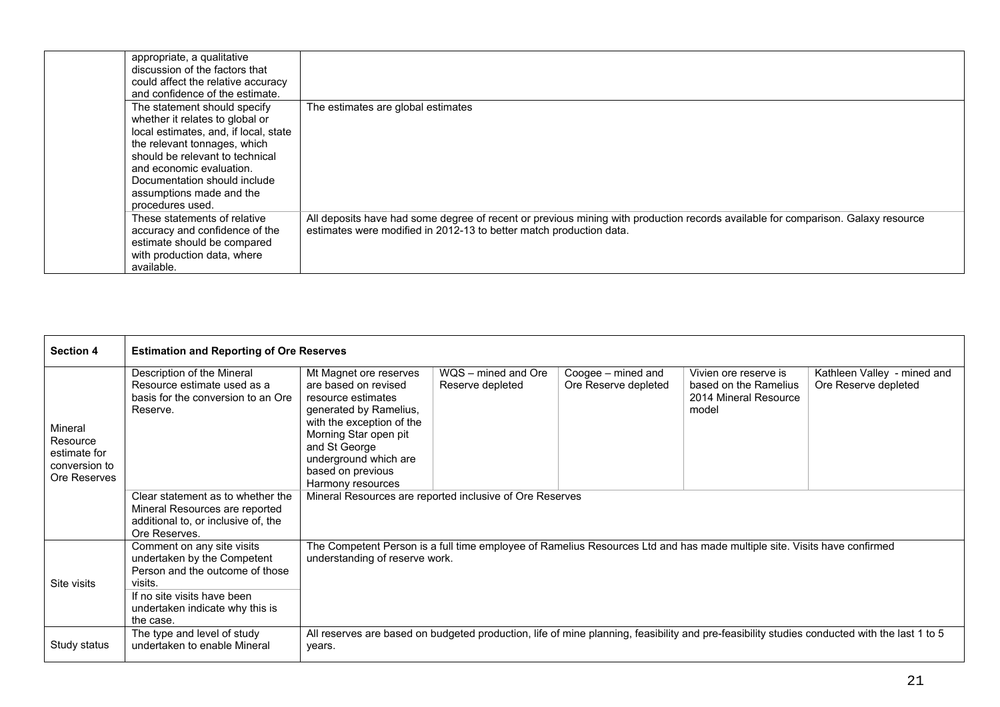| appropriate, a qualitative<br>discussion of the factors that<br>could affect the relative accuracy<br>and confidence of the estimate.                                                                                                                                                   |                                                                                                                                                                                                         |
|-----------------------------------------------------------------------------------------------------------------------------------------------------------------------------------------------------------------------------------------------------------------------------------------|---------------------------------------------------------------------------------------------------------------------------------------------------------------------------------------------------------|
| The statement should specify<br>whether it relates to global or<br>local estimates, and, if local, state<br>the relevant tonnages, which<br>should be relevant to technical<br>and economic evaluation.<br>Documentation should include<br>assumptions made and the<br>procedures used. | The estimates are global estimates                                                                                                                                                                      |
| These statements of relative<br>accuracy and confidence of the<br>estimate should be compared<br>with production data, where<br>available.                                                                                                                                              | All deposits have had some degree of recent or previous mining with production records available for comparison. Galaxy resource<br>estimates were modified in 2012-13 to better match production data. |

| <b>Section 4</b>                                                     | <b>Estimation and Reporting of Ore Reserves</b>                                                                                                                                        |                                                                                                                                                                                                                                          |                                         |                                            |                                                                                                                          |                                                                                                                                              |  |
|----------------------------------------------------------------------|----------------------------------------------------------------------------------------------------------------------------------------------------------------------------------------|------------------------------------------------------------------------------------------------------------------------------------------------------------------------------------------------------------------------------------------|-----------------------------------------|--------------------------------------------|--------------------------------------------------------------------------------------------------------------------------|----------------------------------------------------------------------------------------------------------------------------------------------|--|
| Mineral<br>Resource<br>estimate for<br>conversion to<br>Ore Reserves | Description of the Mineral<br>Resource estimate used as a<br>basis for the conversion to an Ore<br>Reserve.                                                                            | Mt Magnet ore reserves<br>are based on revised<br>resource estimates<br>generated by Ramelius,<br>with the exception of the<br>Morning Star open pit<br>and St George<br>underground which are<br>based on previous<br>Harmony resources | WQS - mined and Ore<br>Reserve depleted | Coogee – mined and<br>Ore Reserve depleted | Vivien ore reserve is<br>based on the Ramelius<br>2014 Mineral Resource<br>model                                         | Kathleen Valley - mined and<br>Ore Reserve depleted                                                                                          |  |
|                                                                      | Clear statement as to whether the<br>Mineral Resources are reported<br>additional to, or inclusive of, the<br>Ore Reserves.                                                            | Mineral Resources are reported inclusive of Ore Reserves                                                                                                                                                                                 |                                         |                                            |                                                                                                                          |                                                                                                                                              |  |
| Site visits                                                          | Comment on any site visits<br>undertaken by the Competent<br>Person and the outcome of those<br>visits.<br>If no site visits have been<br>undertaken indicate why this is<br>the case. | understanding of reserve work.                                                                                                                                                                                                           |                                         |                                            | The Competent Person is a full time employee of Ramelius Resources Ltd and has made multiple site. Visits have confirmed |                                                                                                                                              |  |
| Study status                                                         | The type and level of study<br>undertaken to enable Mineral                                                                                                                            | years.                                                                                                                                                                                                                                   |                                         |                                            |                                                                                                                          | All reserves are based on budgeted production, life of mine planning, feasibility and pre-feasibility studies conducted with the last 1 to 5 |  |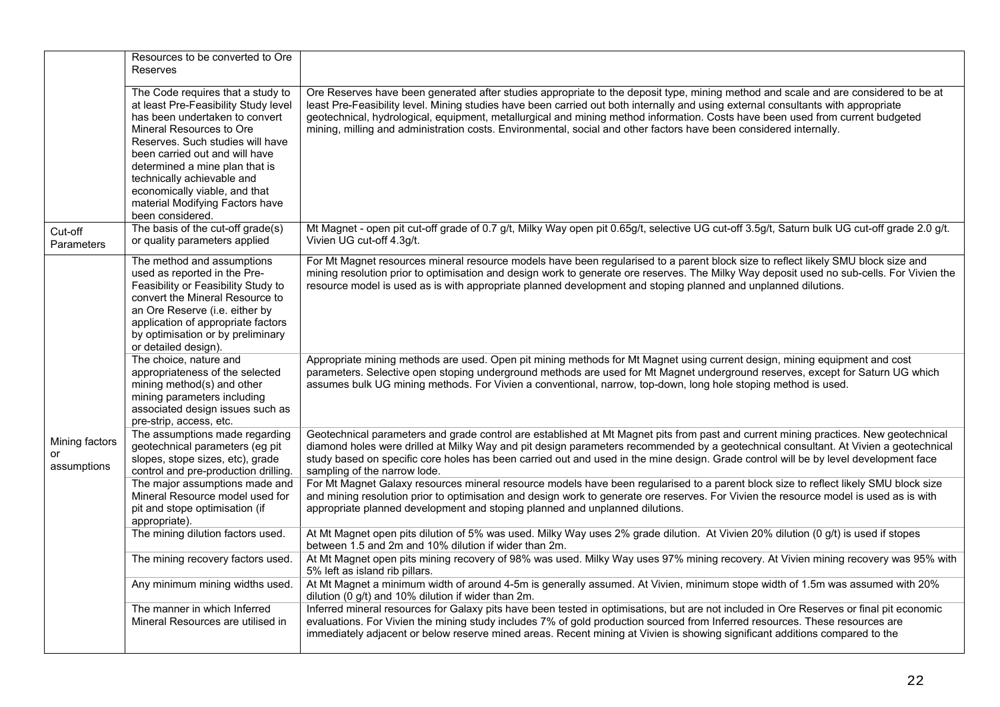|                               | Resources to be converted to Ore<br><b>Reserves</b>                                                                                                                                                                                                                                                                                                                   |                                                                                                                                                                                                                                                                                                                                                                                                                                                                                                                                  |
|-------------------------------|-----------------------------------------------------------------------------------------------------------------------------------------------------------------------------------------------------------------------------------------------------------------------------------------------------------------------------------------------------------------------|----------------------------------------------------------------------------------------------------------------------------------------------------------------------------------------------------------------------------------------------------------------------------------------------------------------------------------------------------------------------------------------------------------------------------------------------------------------------------------------------------------------------------------|
|                               | The Code requires that a study to<br>at least Pre-Feasibility Study level<br>has been undertaken to convert<br>Mineral Resources to Ore<br>Reserves. Such studies will have<br>been carried out and will have<br>determined a mine plan that is<br>technically achievable and<br>economically viable, and that<br>material Modifying Factors have<br>been considered. | Ore Reserves have been generated after studies appropriate to the deposit type, mining method and scale and are considered to be at<br>least Pre-Feasibility level. Mining studies have been carried out both internally and using external consultants with appropriate<br>geotechnical, hydrological, equipment, metallurgical and mining method information. Costs have been used from current budgeted<br>mining, milling and administration costs. Environmental, social and other factors have been considered internally. |
| Cut-off<br>Parameters         | The basis of the cut-off grade(s)<br>or quality parameters applied                                                                                                                                                                                                                                                                                                    | Mt Magnet - open pit cut-off grade of 0.7 g/t, Milky Way open pit 0.65g/t, selective UG cut-off 3.5g/t, Saturn bulk UG cut-off grade 2.0 g/t.<br>Vivien UG cut-off 4.3g/t.                                                                                                                                                                                                                                                                                                                                                       |
|                               | The method and assumptions<br>used as reported in the Pre-<br>Feasibility or Feasibility Study to<br>convert the Mineral Resource to<br>an Ore Reserve (i.e. either by<br>application of appropriate factors<br>by optimisation or by preliminary<br>or detailed design).                                                                                             | For Mt Magnet resources mineral resource models have been regularised to a parent block size to reflect likely SMU block size and<br>mining resolution prior to optimisation and design work to generate ore reserves. The Milky Way deposit used no sub-cells. For Vivien the<br>resource model is used as is with appropriate planned development and stoping planned and unplanned dilutions.                                                                                                                                 |
|                               | The choice, nature and<br>appropriateness of the selected<br>mining method(s) and other<br>mining parameters including<br>associated design issues such as<br>pre-strip, access, etc.                                                                                                                                                                                 | Appropriate mining methods are used. Open pit mining methods for Mt Magnet using current design, mining equipment and cost<br>parameters. Selective open stoping underground methods are used for Mt Magnet underground reserves, except for Saturn UG which<br>assumes bulk UG mining methods. For Vivien a conventional, narrow, top-down, long hole stoping method is used.                                                                                                                                                   |
| Mining factors<br>assumptions | The assumptions made regarding<br>geotechnical parameters (eg pit<br>slopes, stope sizes, etc), grade<br>control and pre-production drilling.                                                                                                                                                                                                                         | Geotechnical parameters and grade control are established at Mt Magnet pits from past and current mining practices. New geotechnical<br>diamond holes were drilled at Milky Way and pit design parameters recommended by a geotechnical consultant. At Vivien a geotechnical<br>study based on specific core holes has been carried out and used in the mine design. Grade control will be by level development face<br>sampling of the narrow lode.                                                                             |
|                               | The major assumptions made and<br>Mineral Resource model used for<br>pit and stope optimisation (if<br>appropriate).                                                                                                                                                                                                                                                  | For Mt Magnet Galaxy resources mineral resource models have been regularised to a parent block size to reflect likely SMU block size<br>and mining resolution prior to optimisation and design work to generate ore reserves. For Vivien the resource model is used as is with<br>appropriate planned development and stoping planned and unplanned dilutions.                                                                                                                                                                   |
|                               | The mining dilution factors used.                                                                                                                                                                                                                                                                                                                                     | At Mt Magnet open pits dilution of 5% was used. Milky Way uses 2% grade dilution. At Vivien 20% dilution (0 g/t) is used if stopes<br>between 1.5 and 2m and 10% dilution if wider than 2m.                                                                                                                                                                                                                                                                                                                                      |
|                               | The mining recovery factors used.                                                                                                                                                                                                                                                                                                                                     | At Mt Magnet open pits mining recovery of 98% was used. Milky Way uses 97% mining recovery. At Vivien mining recovery was 95% with<br>5% left as island rib pillars.                                                                                                                                                                                                                                                                                                                                                             |
|                               | Any minimum mining widths used.                                                                                                                                                                                                                                                                                                                                       | At Mt Magnet a minimum width of around 4-5m is generally assumed. At Vivien, minimum stope width of 1.5m was assumed with 20%<br>dilution (0 g/t) and 10% dilution if wider than 2m.                                                                                                                                                                                                                                                                                                                                             |
|                               | The manner in which Inferred<br>Mineral Resources are utilised in                                                                                                                                                                                                                                                                                                     | Inferred mineral resources for Galaxy pits have been tested in optimisations, but are not included in Ore Reserves or final pit economic<br>evaluations. For Vivien the mining study includes 7% of gold production sourced from Inferred resources. These resources are<br>immediately adjacent or below reserve mined areas. Recent mining at Vivien is showing significant additions compared to the                                                                                                                          |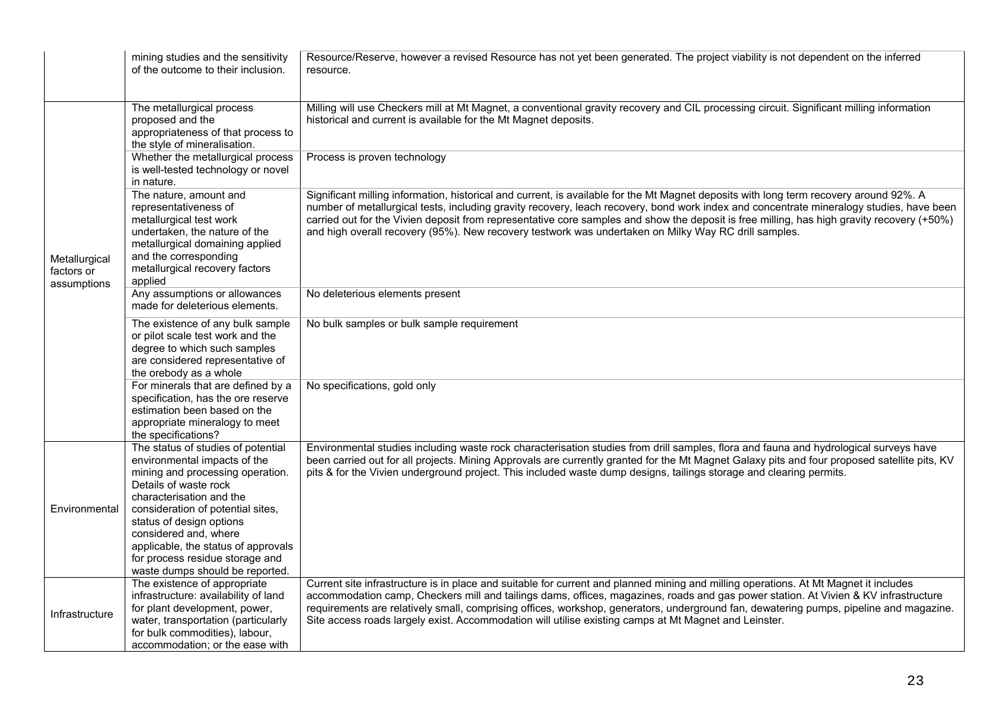|                                            | mining studies and the sensitivity<br>of the outcome to their inclusion.                                                                                                                                                                                                                                                                                           | Resource/Reserve, however a revised Resource has not yet been generated. The project viability is not dependent on the inferred<br>resource.                                                                                                                                                                                                                                                                                                                                                                                             |
|--------------------------------------------|--------------------------------------------------------------------------------------------------------------------------------------------------------------------------------------------------------------------------------------------------------------------------------------------------------------------------------------------------------------------|------------------------------------------------------------------------------------------------------------------------------------------------------------------------------------------------------------------------------------------------------------------------------------------------------------------------------------------------------------------------------------------------------------------------------------------------------------------------------------------------------------------------------------------|
|                                            | The metallurgical process<br>proposed and the<br>appropriateness of that process to<br>the style of mineralisation.                                                                                                                                                                                                                                                | Milling will use Checkers mill at Mt Magnet, a conventional gravity recovery and CIL processing circuit. Significant milling information<br>historical and current is available for the Mt Magnet deposits.                                                                                                                                                                                                                                                                                                                              |
| Metallurgical<br>factors or<br>assumptions | Whether the metallurgical process<br>is well-tested technology or novel<br>in nature.                                                                                                                                                                                                                                                                              | Process is proven technology                                                                                                                                                                                                                                                                                                                                                                                                                                                                                                             |
|                                            | The nature, amount and<br>representativeness of<br>metallurgical test work<br>undertaken, the nature of the<br>metallurgical domaining applied<br>and the corresponding<br>metallurgical recovery factors<br>applied                                                                                                                                               | Significant milling information, historical and current, is available for the Mt Magnet deposits with long term recovery around 92%. A<br>number of metallurgical tests, including gravity recovery, leach recovery, bond work index and concentrate mineralogy studies, have been<br>carried out for the Vivien deposit from representative core samples and show the deposit is free milling, has high gravity recovery (+50%)<br>and high overall recovery (95%). New recovery testwork was undertaken on Milky Way RC drill samples. |
|                                            | Any assumptions or allowances<br>made for deleterious elements.                                                                                                                                                                                                                                                                                                    | No deleterious elements present                                                                                                                                                                                                                                                                                                                                                                                                                                                                                                          |
|                                            | The existence of any bulk sample<br>or pilot scale test work and the<br>degree to which such samples<br>are considered representative of<br>the orebody as a whole                                                                                                                                                                                                 | No bulk samples or bulk sample requirement                                                                                                                                                                                                                                                                                                                                                                                                                                                                                               |
|                                            | For minerals that are defined by a<br>specification, has the ore reserve<br>estimation been based on the<br>appropriate mineralogy to meet<br>the specifications?                                                                                                                                                                                                  | No specifications, gold only                                                                                                                                                                                                                                                                                                                                                                                                                                                                                                             |
| Environmental                              | The status of studies of potential<br>environmental impacts of the<br>mining and processing operation.<br>Details of waste rock<br>characterisation and the<br>consideration of potential sites,<br>status of design options<br>considered and, where<br>applicable, the status of approvals<br>for process residue storage and<br>waste dumps should be reported. | Environmental studies including waste rock characterisation studies from drill samples, flora and fauna and hydrological surveys have<br>been carried out for all projects. Mining Approvals are currently granted for the Mt Magnet Galaxy pits and four proposed satellite pits, KV<br>pits & for the Vivien underground project. This included waste dump designs, tailings storage and clearing permits.                                                                                                                             |
| Infrastructure                             | The existence of appropriate<br>infrastructure: availability of land<br>for plant development, power,<br>water, transportation (particularly<br>for bulk commodities), labour,<br>accommodation; or the ease with                                                                                                                                                  | Current site infrastructure is in place and suitable for current and planned mining and milling operations. At Mt Magnet it includes<br>accommodation camp, Checkers mill and tailings dams, offices, magazines, roads and gas power station. At Vivien & KV infrastructure<br>requirements are relatively small, comprising offices, workshop, generators, underground fan, dewatering pumps, pipeline and magazine.<br>Site access roads largely exist. Accommodation will utilise existing camps at Mt Magnet and Leinster.           |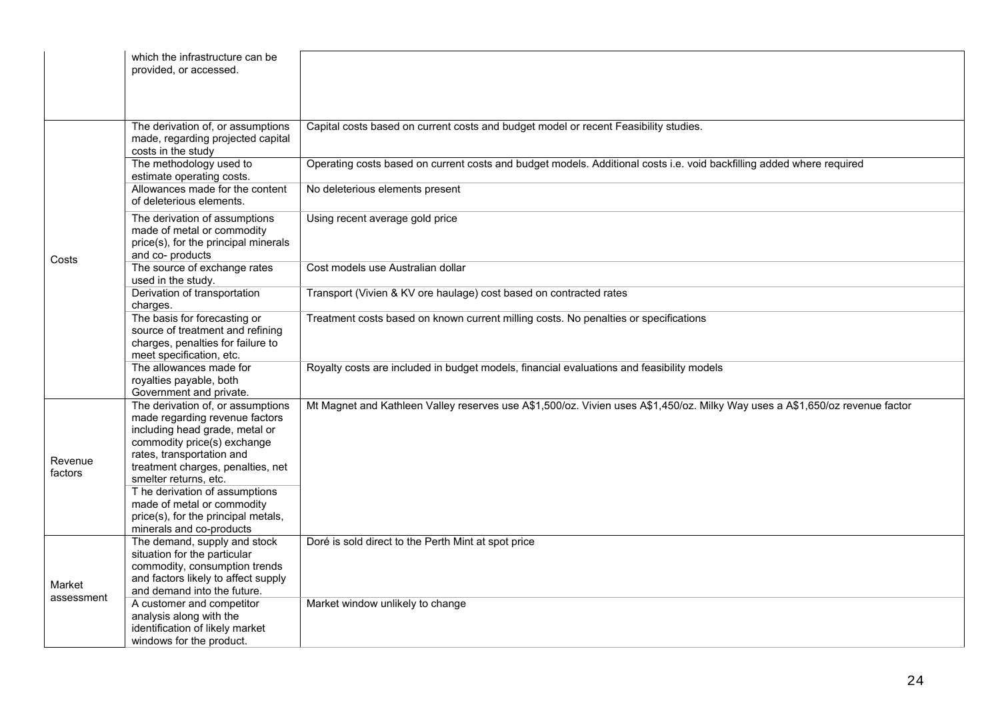|                      | which the infrastructure can be<br>provided, or accessed.                                                                                                                                                                                                                                                                              |                                                                                                                              |
|----------------------|----------------------------------------------------------------------------------------------------------------------------------------------------------------------------------------------------------------------------------------------------------------------------------------------------------------------------------------|------------------------------------------------------------------------------------------------------------------------------|
|                      | The derivation of, or assumptions<br>made, regarding projected capital<br>costs in the study                                                                                                                                                                                                                                           | Capital costs based on current costs and budget model or recent Feasibility studies.                                         |
| Costs                | The methodology used to<br>estimate operating costs.                                                                                                                                                                                                                                                                                   | Operating costs based on current costs and budget models. Additional costs i.e. void backfilling added where required        |
|                      | Allowances made for the content<br>of deleterious elements.                                                                                                                                                                                                                                                                            | No deleterious elements present                                                                                              |
|                      | The derivation of assumptions<br>made of metal or commodity<br>price(s), for the principal minerals<br>and co- products                                                                                                                                                                                                                | Using recent average gold price                                                                                              |
|                      | The source of exchange rates<br>used in the study.                                                                                                                                                                                                                                                                                     | Cost models use Australian dollar                                                                                            |
|                      | Derivation of transportation<br>charges.                                                                                                                                                                                                                                                                                               | Transport (Vivien & KV ore haulage) cost based on contracted rates                                                           |
|                      | The basis for forecasting or<br>source of treatment and refining<br>charges, penalties for failure to<br>meet specification, etc.                                                                                                                                                                                                      | Treatment costs based on known current milling costs. No penalties or specifications                                         |
|                      | The allowances made for<br>royalties payable, both<br>Government and private.                                                                                                                                                                                                                                                          | Royalty costs are included in budget models, financial evaluations and feasibility models                                    |
| Revenue<br>factors   | The derivation of, or assumptions<br>made regarding revenue factors<br>including head grade, metal or<br>commodity price(s) exchange<br>rates, transportation and<br>treatment charges, penalties, net<br>smelter returns, etc.<br>T he derivation of assumptions<br>made of metal or commodity<br>price(s), for the principal metals, | Mt Magnet and Kathleen Valley reserves use A\$1,500/oz. Vivien uses A\$1,450/oz. Milky Way uses a A\$1,650/oz revenue factor |
|                      | minerals and co-products<br>The demand, supply and stock                                                                                                                                                                                                                                                                               | Doré is sold direct to the Perth Mint at spot price                                                                          |
| Market<br>assessment | situation for the particular<br>commodity, consumption trends<br>and factors likely to affect supply<br>and demand into the future.                                                                                                                                                                                                    |                                                                                                                              |
|                      | A customer and competitor<br>analysis along with the<br>identification of likely market<br>windows for the product.                                                                                                                                                                                                                    | Market window unlikely to change                                                                                             |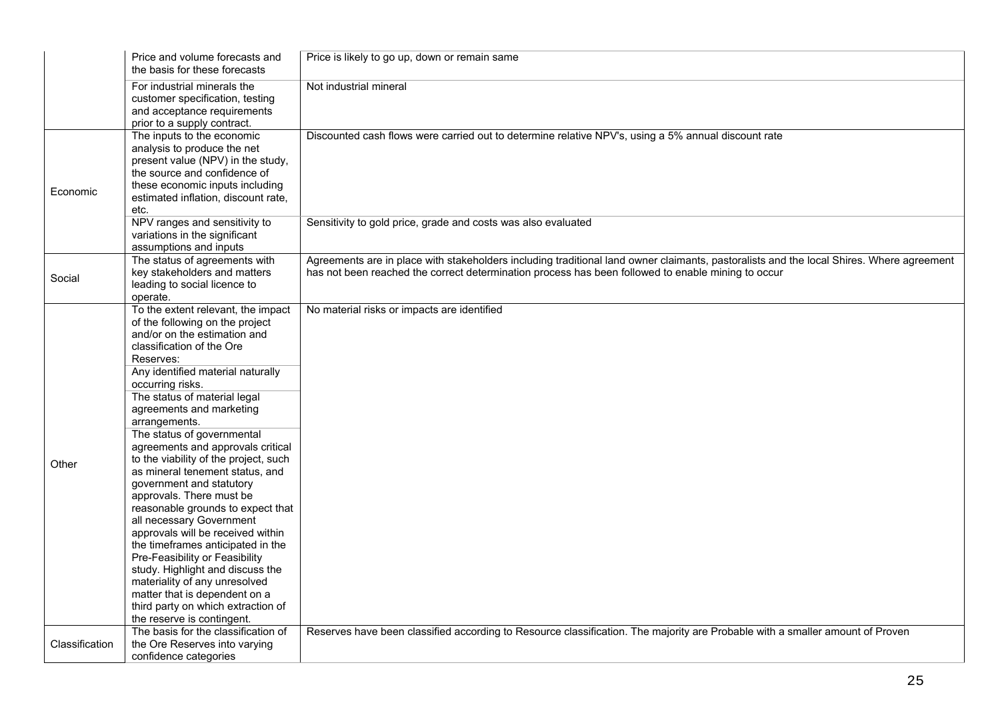|                | Price and volume forecasts and<br>the basis for these forecasts                                                                                                                                                                                                                                                                                                                                                                                                                                                                                                                                                                                                                                                                                                                                                                                     | Price is likely to go up, down or remain same                                                                                                                                                                                                  |
|----------------|-----------------------------------------------------------------------------------------------------------------------------------------------------------------------------------------------------------------------------------------------------------------------------------------------------------------------------------------------------------------------------------------------------------------------------------------------------------------------------------------------------------------------------------------------------------------------------------------------------------------------------------------------------------------------------------------------------------------------------------------------------------------------------------------------------------------------------------------------------|------------------------------------------------------------------------------------------------------------------------------------------------------------------------------------------------------------------------------------------------|
|                | For industrial minerals the<br>customer specification, testing<br>and acceptance requirements<br>prior to a supply contract.                                                                                                                                                                                                                                                                                                                                                                                                                                                                                                                                                                                                                                                                                                                        | Not industrial mineral                                                                                                                                                                                                                         |
| Economic       | The inputs to the economic<br>analysis to produce the net<br>present value (NPV) in the study,<br>the source and confidence of<br>these economic inputs including<br>estimated inflation, discount rate,<br>etc.                                                                                                                                                                                                                                                                                                                                                                                                                                                                                                                                                                                                                                    | Discounted cash flows were carried out to determine relative NPV's, using a 5% annual discount rate                                                                                                                                            |
|                | NPV ranges and sensitivity to<br>variations in the significant<br>assumptions and inputs                                                                                                                                                                                                                                                                                                                                                                                                                                                                                                                                                                                                                                                                                                                                                            | Sensitivity to gold price, grade and costs was also evaluated                                                                                                                                                                                  |
| Social         | The status of agreements with<br>key stakeholders and matters<br>leading to social licence to<br>operate.                                                                                                                                                                                                                                                                                                                                                                                                                                                                                                                                                                                                                                                                                                                                           | Agreements are in place with stakeholders including traditional land owner claimants, pastoralists and the local Shires. Where agreement<br>has not been reached the correct determination process has been followed to enable mining to occur |
| Other          | To the extent relevant, the impact<br>of the following on the project<br>and/or on the estimation and<br>classification of the Ore<br>Reserves:<br>Any identified material naturally<br>occurring risks.<br>The status of material legal<br>agreements and marketing<br>arrangements.<br>The status of governmental<br>agreements and approvals critical<br>to the viability of the project, such<br>as mineral tenement status, and<br>government and statutory<br>approvals. There must be<br>reasonable grounds to expect that<br>all necessary Government<br>approvals will be received within<br>the timeframes anticipated in the<br>Pre-Feasibility or Feasibility<br>study. Highlight and discuss the<br>materiality of any unresolved<br>matter that is dependent on a<br>third party on which extraction of<br>the reserve is contingent. | No material risks or impacts are identified                                                                                                                                                                                                    |
| Classification | The basis for the classification of<br>the Ore Reserves into varying<br>confidence categories                                                                                                                                                                                                                                                                                                                                                                                                                                                                                                                                                                                                                                                                                                                                                       | Reserves have been classified according to Resource classification. The majority are Probable with a smaller amount of Proven                                                                                                                  |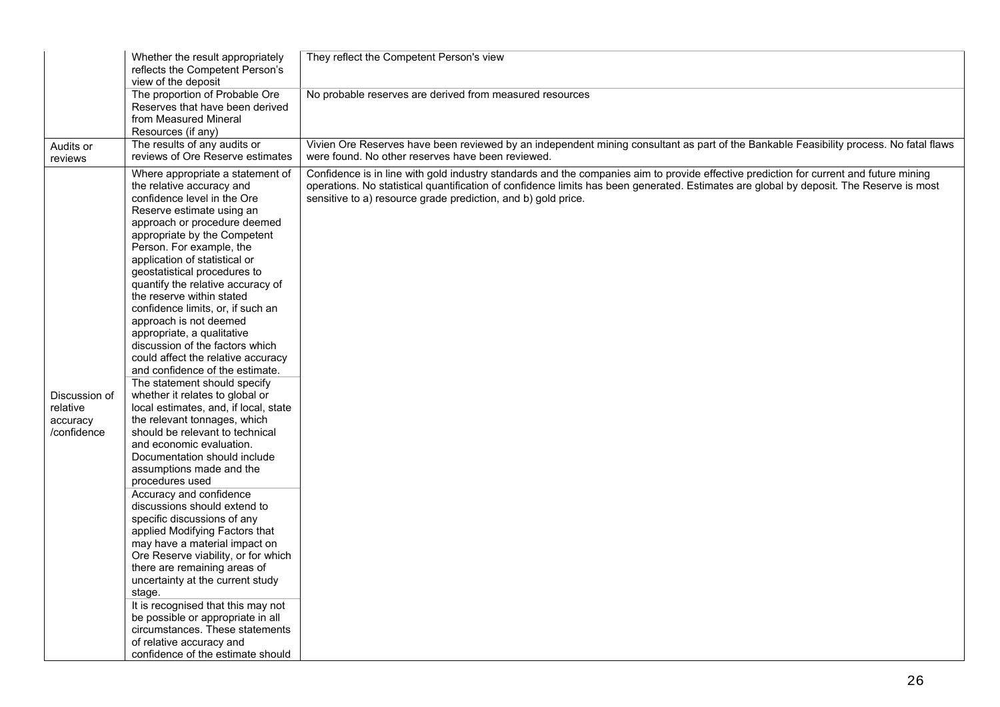|                                                      | Whether the result appropriately<br>reflects the Competent Person's<br>view of the deposit                                                                                                                                                                                                                                                                                                                                                                                                                                                                                                                                                                                                                                                                                                                                                                                                                                                                                                                                                                                                                                                                                                                                                                                                                                   | They reflect the Competent Person's view                                                                                                                                                                                                                                                                                                           |
|------------------------------------------------------|------------------------------------------------------------------------------------------------------------------------------------------------------------------------------------------------------------------------------------------------------------------------------------------------------------------------------------------------------------------------------------------------------------------------------------------------------------------------------------------------------------------------------------------------------------------------------------------------------------------------------------------------------------------------------------------------------------------------------------------------------------------------------------------------------------------------------------------------------------------------------------------------------------------------------------------------------------------------------------------------------------------------------------------------------------------------------------------------------------------------------------------------------------------------------------------------------------------------------------------------------------------------------------------------------------------------------|----------------------------------------------------------------------------------------------------------------------------------------------------------------------------------------------------------------------------------------------------------------------------------------------------------------------------------------------------|
|                                                      | The proportion of Probable Ore<br>Reserves that have been derived<br>from Measured Mineral<br>Resources (if any)                                                                                                                                                                                                                                                                                                                                                                                                                                                                                                                                                                                                                                                                                                                                                                                                                                                                                                                                                                                                                                                                                                                                                                                                             | No probable reserves are derived from measured resources                                                                                                                                                                                                                                                                                           |
| Audits or<br>reviews                                 | The results of any audits or<br>reviews of Ore Reserve estimates                                                                                                                                                                                                                                                                                                                                                                                                                                                                                                                                                                                                                                                                                                                                                                                                                                                                                                                                                                                                                                                                                                                                                                                                                                                             | Vivien Ore Reserves have been reviewed by an independent mining consultant as part of the Bankable Feasibility process. No fatal flaws<br>were found. No other reserves have been reviewed.                                                                                                                                                        |
| Discussion of<br>relative<br>accuracy<br>/confidence | Where appropriate a statement of<br>the relative accuracy and<br>confidence level in the Ore<br>Reserve estimate using an<br>approach or procedure deemed<br>appropriate by the Competent<br>Person. For example, the<br>application of statistical or<br>geostatistical procedures to<br>quantify the relative accuracy of<br>the reserve within stated<br>confidence limits, or, if such an<br>approach is not deemed<br>appropriate, a qualitative<br>discussion of the factors which<br>could affect the relative accuracy<br>and confidence of the estimate.<br>The statement should specify<br>whether it relates to global or<br>local estimates, and, if local, state<br>the relevant tonnages, which<br>should be relevant to technical<br>and economic evaluation.<br>Documentation should include<br>assumptions made and the<br>procedures used<br>Accuracy and confidence<br>discussions should extend to<br>specific discussions of any<br>applied Modifying Factors that<br>may have a material impact on<br>Ore Reserve viability, or for which<br>there are remaining areas of<br>uncertainty at the current study<br>stage.<br>It is recognised that this may not<br>be possible or appropriate in all<br>circumstances. These statements<br>of relative accuracy and<br>confidence of the estimate should | Confidence is in line with gold industry standards and the companies aim to provide effective prediction for current and future mining<br>operations. No statistical quantification of confidence limits has been generated. Estimates are global by deposit. The Reserve is most<br>sensitive to a) resource grade prediction, and b) gold price. |